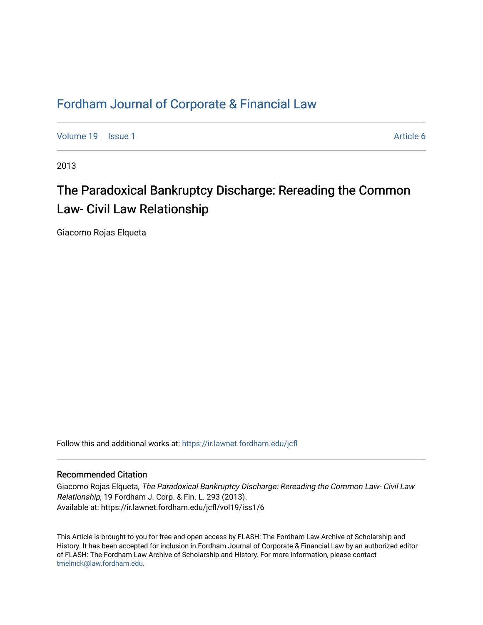# [Fordham Journal of Corporate & Financial Law](https://ir.lawnet.fordham.edu/jcfl)

[Volume 19](https://ir.lawnet.fordham.edu/jcfl/vol19) | [Issue 1](https://ir.lawnet.fordham.edu/jcfl/vol19/iss1) Article 6

2013

# The Paradoxical Bankruptcy Discharge: Rereading the Common Law- Civil Law Relationship

Giacomo Rojas Elqueta

Follow this and additional works at: [https://ir.lawnet.fordham.edu/jcfl](https://ir.lawnet.fordham.edu/jcfl?utm_source=ir.lawnet.fordham.edu%2Fjcfl%2Fvol19%2Fiss1%2F6&utm_medium=PDF&utm_campaign=PDFCoverPages) 

## Recommended Citation

Giacomo Rojas Elqueta, The Paradoxical Bankruptcy Discharge: Rereading the Common Law- Civil Law Relationship, 19 Fordham J. Corp. & Fin. L. 293 (2013). Available at: https://ir.lawnet.fordham.edu/jcfl/vol19/iss1/6

This Article is brought to you for free and open access by FLASH: The Fordham Law Archive of Scholarship and History. It has been accepted for inclusion in Fordham Journal of Corporate & Financial Law by an authorized editor of FLASH: The Fordham Law Archive of Scholarship and History. For more information, please contact [tmelnick@law.fordham.edu](mailto:tmelnick@law.fordham.edu).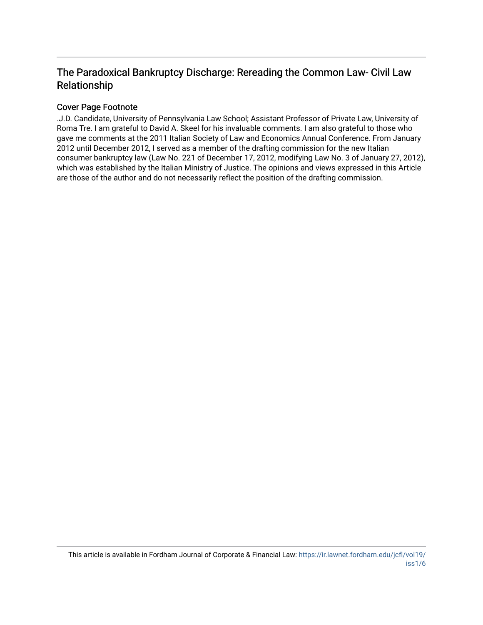## The Paradoxical Bankruptcy Discharge: Rereading the Common Law- Civil Law Relationship

## Cover Page Footnote

.J.D. Candidate, University of Pennsylvania Law School; Assistant Professor of Private Law, University of Roma Tre. I am grateful to David A. Skeel for his invaluable comments. I am also grateful to those who gave me comments at the 2011 Italian Society of Law and Economics Annual Conference. From January 2012 until December 2012, I served as a member of the drafting commission for the new Italian consumer bankruptcy law (Law No. 221 of December 17, 2012, modifying Law No. 3 of January 27, 2012), which was established by the Italian Ministry of Justice. The opinions and views expressed in this Article are those of the author and do not necessarily reflect the position of the drafting commission.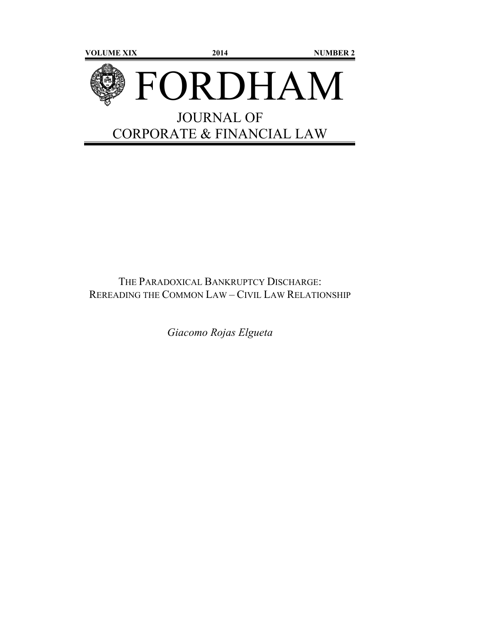

## THE PARADOXICAL BANKRUPTCY DISCHARGE: REREADING THE COMMON LAW – CIVIL LAW RELATIONSHIP

*Giacomo Rojas Elgueta*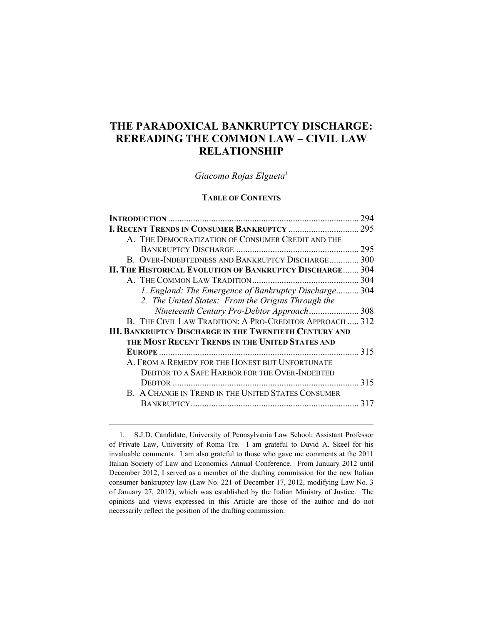## **THE PARADOXICAL BANKRUPTCY DISCHARGE: REREADING THE COMMON LAW – CIVIL LAW RELATIONSHIP**

*Giacomo Rojas Elgueta1*

## **TABLE OF CONTENTS**

|                                                                 | 294 |
|-----------------------------------------------------------------|-----|
| <b>I. RECENT TRENDS IN CONSUMER BANKRUPTCY  295</b>             |     |
| A. THE DEMOCRATIZATION OF CONSUMER CREDIT AND THE               |     |
|                                                                 |     |
| B. OVER-INDEBTEDNESS AND BANKRUPTCY DISCHARGE 300               |     |
| <b>II. THE HISTORICAL EVOLUTION OF BANKRUPTCY DISCHARGE 304</b> |     |
|                                                                 |     |
| 1. England: The Emergence of Bankruptcy Discharge 304           |     |
| 2. The United States: From the Origins Through the              |     |
|                                                                 |     |
| B. THE CIVIL LAW TRADITION: A PRO-CREDITOR APPROACH  312        |     |
| <b>III. BANKRUPTCY DISCHARGE IN THE TWENTIETH CENTURY AND</b>   |     |
| THE MOST RECENT TRENDS IN THE UNITED STATES AND                 |     |
|                                                                 |     |
| A. FROM A REMEDY FOR THE HONEST BUT UNFORTUNATE                 |     |
| DEBTOR TO A SAFE HARBOR FOR THE OVER-INDEBTED                   |     |
|                                                                 |     |
| B. A CHANGE IN TREND IN THE UNITED STATES CONSUMER              |     |
|                                                                 |     |
|                                                                 |     |

<sup>1.</sup> S.J.D. Candidate, University of Pennsylvania Law School; Assistant Professor of Private Law, University of Roma Tre. I am grateful to David A. Skeel for his invaluable comments. I am also grateful to those who gave me comments at the 2011 Italian Society of Law and Economics Annual Conference. From January 2012 until December 2012, I served as a member of the drafting commission for the new Italian consumer bankruptcy law (Law No. 221 of December 17, 2012, modifying Law No. 3 of January 27, 2012), which was established by the Italian Ministry of Justice. The opinions and views expressed in this Article are those of the author and do not necessarily reflect the position of the drafting commission.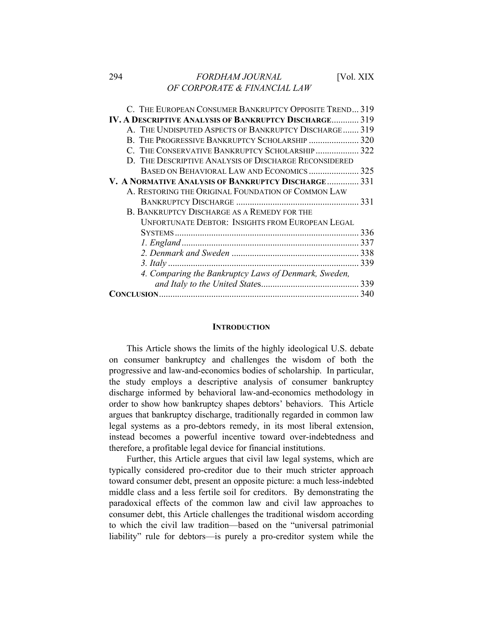| C. THE EUROPEAN CONSUMER BANKRUPTCY OPPOSITE TREND 319        |     |
|---------------------------------------------------------------|-----|
| <b>IV. A DESCRIPTIVE ANALYSIS OF BANKRUPTCY DISCHARGE 319</b> |     |
| A. THE UNDISPUTED ASPECTS OF BANKRUPTCY DISCHARGE 319         |     |
| B. THE PROGRESSIVE BANKRUPTCY SCHOLARSHIP  320                |     |
| C. THE CONSERVATIVE BANKRUPTCY SCHOLARSHIP  322               |     |
| D. THE DESCRIPTIVE ANALYSIS OF DISCHARGE RECONSIDERED         |     |
| BASED ON BEHAVIORAL LAW AND ECONOMICS 325                     |     |
| V. A NORMATIVE ANALYSIS OF BANKRUPTCY DISCHARGE 331           |     |
| A. RESTORING THE ORIGINAL FOUNDATION OF COMMON LAW            |     |
|                                                               |     |
| B. BANKRUPTCY DISCHARGE AS A REMEDY FOR THE                   |     |
| <b>UNFORTUNATE DEBTOR: INSIGHTS FROM EUROPEAN LEGAL</b>       |     |
|                                                               | 336 |
|                                                               | 337 |
|                                                               |     |
| 3. Italy                                                      | 339 |
| 4. Comparing the Bankruptcy Laws of Denmark, Sweden,          |     |
|                                                               | 339 |
|                                                               | 340 |
|                                                               |     |

#### **INTRODUCTION**

This Article shows the limits of the highly ideological U.S. debate on consumer bankruptcy and challenges the wisdom of both the progressive and law-and-economics bodies of scholarship. In particular, the study employs a descriptive analysis of consumer bankruptcy discharge informed by behavioral law-and-economics methodology in order to show how bankruptcy shapes debtors' behaviors. This Article argues that bankruptcy discharge, traditionally regarded in common law legal systems as a pro-debtors remedy, in its most liberal extension, instead becomes a powerful incentive toward over-indebtedness and therefore, a profitable legal device for financial institutions.

Further, this Article argues that civil law legal systems, which are typically considered pro-creditor due to their much stricter approach toward consumer debt, present an opposite picture: a much less-indebted middle class and a less fertile soil for creditors. By demonstrating the paradoxical effects of the common law and civil law approaches to consumer debt, this Article challenges the traditional wisdom according to which the civil law tradition—based on the "universal patrimonial liability" rule for debtors—is purely a pro-creditor system while the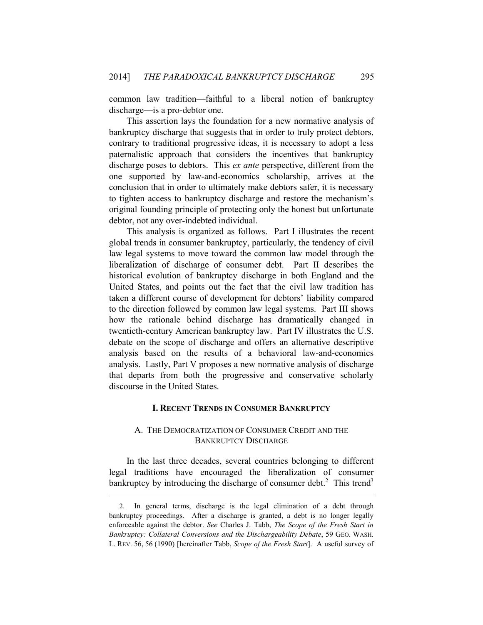common law tradition—faithful to a liberal notion of bankruptcy discharge—is a pro-debtor one.

This assertion lays the foundation for a new normative analysis of bankruptcy discharge that suggests that in order to truly protect debtors, contrary to traditional progressive ideas, it is necessary to adopt a less paternalistic approach that considers the incentives that bankruptcy discharge poses to debtors. This *ex ante* perspective, different from the one supported by law-and-economics scholarship, arrives at the conclusion that in order to ultimately make debtors safer, it is necessary to tighten access to bankruptcy discharge and restore the mechanism's original founding principle of protecting only the honest but unfortunate debtor, not any over-indebted individual.

This analysis is organized as follows. Part I illustrates the recent global trends in consumer bankruptcy, particularly, the tendency of civil law legal systems to move toward the common law model through the liberalization of discharge of consumer debt. Part II describes the historical evolution of bankruptcy discharge in both England and the United States, and points out the fact that the civil law tradition has taken a different course of development for debtors' liability compared to the direction followed by common law legal systems. Part III shows how the rationale behind discharge has dramatically changed in twentieth-century American bankruptcy law. Part IV illustrates the U.S. debate on the scope of discharge and offers an alternative descriptive analysis based on the results of a behavioral law-and-economics analysis. Lastly, Part V proposes a new normative analysis of discharge that departs from both the progressive and conservative scholarly discourse in the United States.

#### **I. RECENT TRENDS IN CONSUMER BANKRUPTCY**

## A. THE DEMOCRATIZATION OF CONSUMER CREDIT AND THE BANKRUPTCY DISCHARGE

In the last three decades, several countries belonging to different legal traditions have encouraged the liberalization of consumer bankruptcy by introducing the discharge of consumer debt.<sup>2</sup> This trend<sup>3</sup>

<sup>2.</sup> In general terms, discharge is the legal elimination of a debt through bankruptcy proceedings. After a discharge is granted, a debt is no longer legally enforceable against the debtor. *See* Charles J. Tabb, *The Scope of the Fresh Start in Bankruptcy: Collateral Conversions and the Dischargeability Debate*, 59 GEO. WASH. L. REV. 56, 56 (1990) [hereinafter Tabb, *Scope of the Fresh Start*]. A useful survey of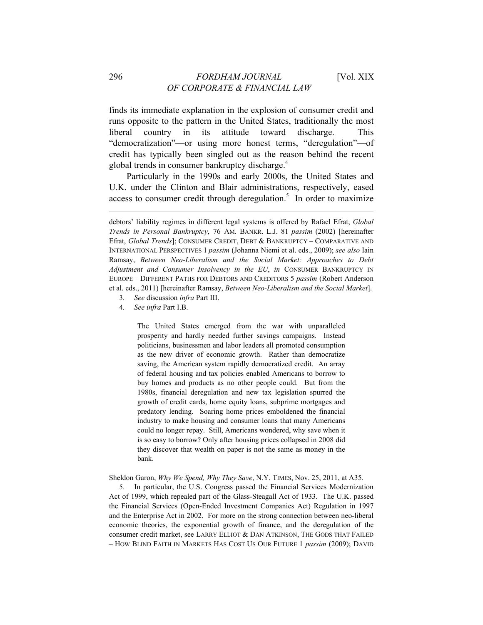finds its immediate explanation in the explosion of consumer credit and runs opposite to the pattern in the United States, traditionally the most liberal country in its attitude toward discharge. This "democratization"—or using more honest terms, "deregulation"—of credit has typically been singled out as the reason behind the recent global trends in consumer bankruptcy discharge.<sup>4</sup>

Particularly in the 1990s and early 2000s, the United States and U.K. under the Clinton and Blair administrations, respectively, eased access to consumer credit through deregulation.<sup>5</sup> In order to maximize

<u> 1989 - Johann Barn, mars ar breithinn ar chuid ann an t-Alban ann an t-Alban ann an t-Alban ann an t-Alban a</u>

3*. See* discussion *infra* Part III.

4*. See infra* Part I.B.

The United States emerged from the war with unparalleled prosperity and hardly needed further savings campaigns. Instead politicians, businessmen and labor leaders all promoted consumption as the new driver of economic growth. Rather than democratize saving, the American system rapidly democratized credit. An array of federal housing and tax policies enabled Americans to borrow to buy homes and products as no other people could. But from the 1980s, financial deregulation and new tax legislation spurred the growth of credit cards, home equity loans, subprime mortgages and predatory lending. Soaring home prices emboldened the financial industry to make housing and consumer loans that many Americans could no longer repay. Still, Americans wondered, why save when it is so easy to borrow? Only after housing prices collapsed in 2008 did they discover that wealth on paper is not the same as money in the bank.

Sheldon Garon, *Why We Spend, Why They Save*, N.Y. TIMES, Nov. 25, 2011, at A35.

5. In particular, the U.S. Congress passed the Financial Services Modernization Act of 1999, which repealed part of the Glass-Steagall Act of 1933. The U.K. passed the Financial Services (Open-Ended Investment Companies Act) Regulation in 1997 and the Enterprise Act in 2002. For more on the strong connection between neo-liberal economic theories, the exponential growth of finance, and the deregulation of the consumer credit market, see LARRY ELLIOT & DAN ATKINSON, THE GODS THAT FAILED – HOW BLIND FAITH IN MARKETS HAS COST US OUR FUTURE 1 *passim* (2009); DAVID

debtors' liability regimes in different legal systems is offered by Rafael Efrat, *Global Trends in Personal Bankruptcy*, 76 AM. BANKR. L.J. 81 *passim* (2002) [hereinafter Efrat, *Global Trends*]; CONSUMER CREDIT, DEBT & BANKRUPTCY – COMPARATIVE AND INTERNATIONAL PERSPECTIVES 1 *passim* (Johanna Niemi et al. eds., 2009); *see also* Iain Ramsay, *Between Neo-Liberalism and the Social Market: Approaches to Debt Adjustment and Consumer Insolvency in the EU*, *in* CONSUMER BANKRUPTCY IN EUROPE – DIFFERENT PATHS FOR DEBTORS AND CREDITORS 5 *passim* (Robert Anderson et al. eds., 2011) [hereinafter Ramsay, *Between Neo-Liberalism and the Social Market*].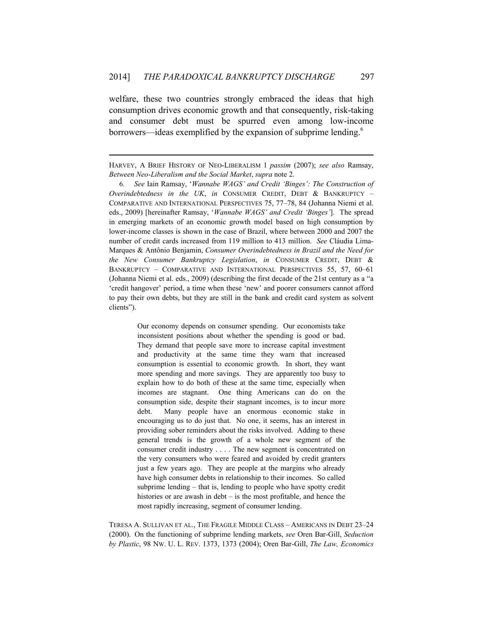welfare, these two countries strongly embraced the ideas that high consumption drives economic growth and that consequently, risk-taking and consumer debt must be spurred even among low-income borrowers—ideas exemplified by the expansion of subprime lending.<sup>6</sup>

<u> 1989 - Johann Barn, mars ar breithinn ar chuid ann an t-Alban ann an t-Alban ann an t-Alban ann an t-Alban a</u>

6*. See* Iain Ramsay, '*Wannabe WAGS' and Credit 'Binges': The Construction of Overindebtedness in the UK*, *in* CONSUMER CREDIT, DEBT & BANKRUPTCY – COMPARATIVE AND INTERNATIONAL PERSPECTIVES 75, 77–78, 84 (Johanna Niemi et al. eds., 2009) [hereinafter Ramsay, '*Wannabe WAGS' and Credit 'Binges'*]. The spread in emerging markets of an economic growth model based on high consumption by lower-income classes is shown in the case of Brazil, where between 2000 and 2007 the number of credit cards increased from 119 million to 413 million. *See* Cláudia Lima-Marques & Antônio Benjamin, *Consumer Overindebtedness in Brazil and the Need for the New Consumer Bankruptcy Legislation*, *in* CONSUMER CREDIT, DEBT & BANKRUPTCY – COMPARATIVE AND INTERNATIONAL PERSPECTIVES 55, 57, 60–61 (Johanna Niemi et al. eds., 2009) (describing the first decade of the 21st century as a "a 'credit hangover' period, a time when these 'new' and poorer consumers cannot afford to pay their own debts, but they are still in the bank and credit card system as solvent clients").

> Our economy depends on consumer spending. Our economists take inconsistent positions about whether the spending is good or bad. They demand that people save more to increase capital investment and productivity at the same time they warn that increased consumption is essential to economic growth. In short, they want more spending and more savings. They are apparently too busy to explain how to do both of these at the same time, especially when incomes are stagnant. One thing Americans can do on the consumption side, despite their stagnant incomes, is to incur more debt. Many people have an enormous economic stake in encouraging us to do just that. No one, it seems, has an interest in providing sober reminders about the risks involved. Adding to these general trends is the growth of a whole new segment of the consumer credit industry . . . . The new segment is concentrated on the very consumers who were feared and avoided by credit granters just a few years ago. They are people at the margins who already have high consumer debts in relationship to their incomes. So called subprime lending – that is, lending to people who have spotty credit histories or are awash in debt – is the most profitable, and hence the most rapidly increasing, segment of consumer lending.

TERESA A. SULLIVAN ET AL., THE FRAGILE MIDDLE CLASS – AMERICANS IN DEBT 23–24 (2000). On the functioning of subprime lending markets, *see* Oren Bar-Gill, *Seduction by Plastic*, 98 NW. U. L. REV. 1373, 1373 (2004); Oren Bar-Gill, *The Law, Economics* 

HARVEY, A BRIEF HISTORY OF NEO-LIBERALISM 1 *passim* (2007); *see also* Ramsay, *Between Neo-Liberalism and the Social Market*, *supra* note 2.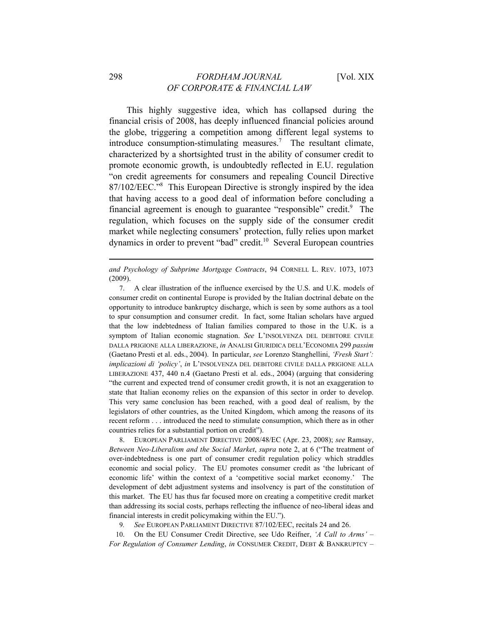This highly suggestive idea, which has collapsed during the financial crisis of 2008, has deeply influenced financial policies around the globe, triggering a competition among different legal systems to introduce consumption-stimulating measures.<sup>7</sup> The resultant climate, characterized by a shortsighted trust in the ability of consumer credit to promote economic growth, is undoubtedly reflected in E.U. regulation "on credit agreements for consumers and repealing Council Directive 87/102/EEC."8 This European Directive is strongly inspired by the idea that having access to a good deal of information before concluding a financial agreement is enough to guarantee "responsible" credit.<sup>9</sup> The regulation, which focuses on the supply side of the consumer credit market while neglecting consumers' protection, fully relies upon market dynamics in order to prevent "bad" credit.<sup>10</sup> Several European countries

<u> 1989 - Johann Barn, mars ar breithinn ar chuid ann an t-Alban ann an t-Alban ann an t-Alban ann an t-Alban a</u> *and Psychology of Subprime Mortgage Contracts*, 94 CORNELL L. REV. 1073, 1073 (2009).

7. A clear illustration of the influence exercised by the U.S. and U.K. models of consumer credit on continental Europe is provided by the Italian doctrinal debate on the opportunity to introduce bankruptcy discharge, which is seen by some authors as a tool to spur consumption and consumer credit. In fact, some Italian scholars have argued that the low indebtedness of Italian families compared to those in the U.K. is a symptom of Italian economic stagnation. *See* L'INSOLVENZA DEL DEBITORE CIVILE DALLA PRIGIONE ALLA LIBERAZIONE, *in* ANALISI GIURIDICA DELL'ECONOMIA 299 *passim*  (Gaetano Presti et al. eds., 2004). In particular, *see* Lorenzo Stanghellini, *'Fresh Start': implicazioni di 'policy'*, *in* L'INSOLVENZA DEL DEBITORE CIVILE DALLA PRIGIONE ALLA LIBERAZIONE 437, 440 n.4 (Gaetano Presti et al. eds., 2004) (arguing that considering "the current and expected trend of consumer credit growth, it is not an exaggeration to state that Italian economy relies on the expansion of this sector in order to develop. This very same conclusion has been reached, with a good deal of realism, by the legislators of other countries, as the United Kingdom, which among the reasons of its recent reform . . . introduced the need to stimulate consumption, which there as in other countries relies for a substantial portion on credit").

8. EUROPEAN PARLIAMENT DIRECTIVE 2008/48/EC (Apr. 23, 2008); *see* Ramsay, *Between Neo-Liberalism and the Social Market*, *supra* note 2, at 6 ("The treatment of over-indebtedness is one part of consumer credit regulation policy which straddles economic and social policy. The EU promotes consumer credit as 'the lubricant of economic life' within the context of a 'competitive social market economy.' The development of debt adjustment systems and insolvency is part of the constitution of this market. The EU has thus far focused more on creating a competitive credit market than addressing its social costs, perhaps reflecting the influence of neo-liberal ideas and financial interests in credit policymaking within the EU.").

9*. See* EUROPEAN PARLIAMENT DIRECTIVE 87/102/EEC, recitals 24 and 26.

10. On the EU Consumer Credit Directive, see Udo Reifner, *'A Call to Arms' – For Regulation of Consumer Lending*, *in* CONSUMER CREDIT, DEBT & BANKRUPTCY –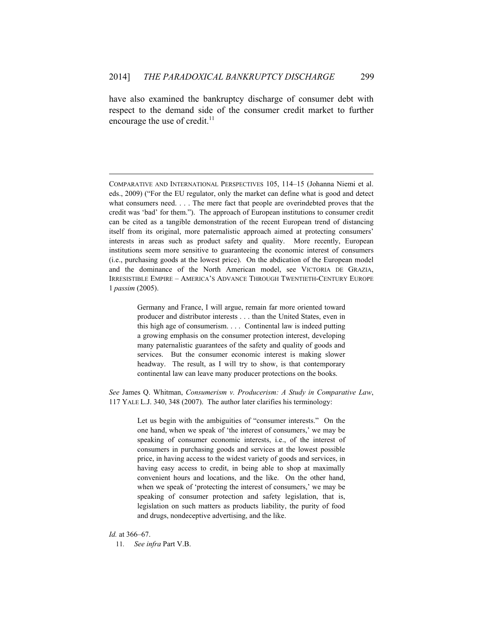have also examined the bankruptcy discharge of consumer debt with respect to the demand side of the consumer credit market to further encourage the use of credit. $^{11}$ 

<u> 1989 - Johann Barn, mars ar breithinn ar chuid ann an t-Alban ann an t-Alban ann an t-Alban ann an t-Alban a</u>

Germany and France, I will argue, remain far more oriented toward producer and distributor interests . . . than the United States, even in this high age of consumerism. . . . Continental law is indeed putting a growing emphasis on the consumer protection interest, developing many paternalistic guarantees of the safety and quality of goods and services. But the consumer economic interest is making slower headway. The result, as I will try to show, is that contemporary continental law can leave many producer protections on the books.

*See* James Q. Whitman, *Consumerism v. Producerism: A Study in Comparative Law*, 117 YALE L.J. 340, 348 (2007). The author later clarifies his terminology:

> Let us begin with the ambiguities of "consumer interests." On the one hand, when we speak of 'the interest of consumers,' we may be speaking of consumer economic interests, i.e., of the interest of consumers in purchasing goods and services at the lowest possible price, in having access to the widest variety of goods and services, in having easy access to credit, in being able to shop at maximally convenient hours and locations, and the like. On the other hand, when we speak of 'protecting the interest of consumers,' we may be speaking of consumer protection and safety legislation, that is, legislation on such matters as products liability, the purity of food and drugs, nondeceptive advertising, and the like.

*Id.* at 366–67.

11*. See infra* Part V.B.

COMPARATIVE AND INTERNATIONAL PERSPECTIVES 105, 114–15 (Johanna Niemi et al. eds., 2009) ("For the EU regulator, only the market can define what is good and detect what consumers need. . . . The mere fact that people are overindebted proves that the credit was 'bad' for them."). The approach of European institutions to consumer credit can be cited as a tangible demonstration of the recent European trend of distancing itself from its original, more paternalistic approach aimed at protecting consumers' interests in areas such as product safety and quality. More recently, European institutions seem more sensitive to guaranteeing the economic interest of consumers (i.e., purchasing goods at the lowest price). On the abdication of the European model and the dominance of the North American model, see VICTORIA DE GRAZIA, IRRESISTIBLE EMPIRE – AMERICA'S ADVANCE THROUGH TWENTIETH-CENTURY EUROPE 1 *passim* (2005).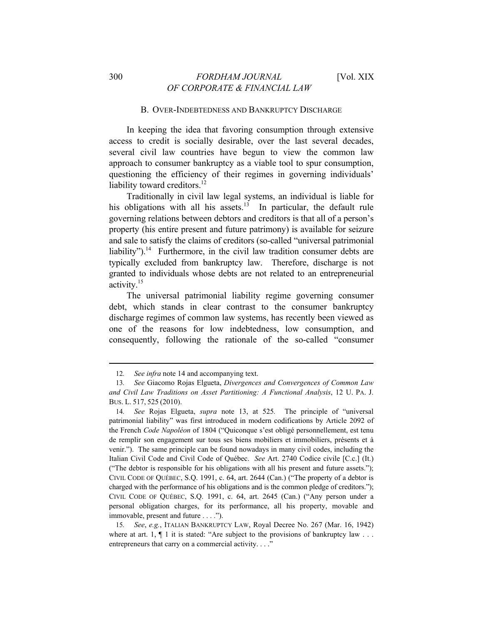#### B. OVER-INDEBTEDNESS AND BANKRUPTCY DISCHARGE

In keeping the idea that favoring consumption through extensive access to credit is socially desirable, over the last several decades, several civil law countries have begun to view the common law approach to consumer bankruptcy as a viable tool to spur consumption, questioning the efficiency of their regimes in governing individuals' liability toward creditors.<sup>12</sup>

Traditionally in civil law legal systems, an individual is liable for his obligations with all his assets. $13$  In particular, the default rule governing relations between debtors and creditors is that all of a person's property (his entire present and future patrimony) is available for seizure and sale to satisfy the claims of creditors (so-called "universal patrimonial liability").<sup>14</sup> Furthermore, in the civil law tradition consumer debts are typically excluded from bankruptcy law. Therefore, discharge is not granted to individuals whose debts are not related to an entrepreneurial activity.15

The universal patrimonial liability regime governing consumer debt, which stands in clear contrast to the consumer bankruptcy discharge regimes of common law systems, has recently been viewed as one of the reasons for low indebtedness, low consumption, and consequently, following the rationale of the so-called "consumer

<sup>12</sup>*. See infra* note 14 and accompanying text.

<sup>13</sup>*. See* Giacomo Rojas Elgueta, *Divergences and Convergences of Common Law and Civil Law Traditions on Asset Partitioning: A Functional Analysis*, 12 U. PA. J. BUS. L. 517, 525 (2010).

<sup>14</sup>*. See* Rojas Elgueta, *supra* note 13, at 525*.* The principle of "universal patrimonial liability" was first introduced in modern codifications by Article 2092 of the French *Code Napoléon* of 1804 ("Quiconque s'est obligé personnellement, est tenu de remplir son engagement sur tous ses biens mobiliers et immobiliers, présents et à venir."). The same principle can be found nowadays in many civil codes, including the Italian Civil Code and Civil Code of Québec. *See* Art. 2740 Codice civile [C.c.] (It.) ("The debtor is responsible for his obligations with all his present and future assets."); CIVIL CODE OF QUÉBEC, S.Q. 1991, c. 64, art. 2644 (Can.) ("The property of a debtor is charged with the performance of his obligations and is the common pledge of creditors."); CIVIL CODE OF QUÉBEC, S.Q. 1991, c. 64, art. 2645 (Can.) ("Any person under a personal obligation charges, for its performance, all his property, movable and immovable, present and future . . . .").

<sup>15</sup>*. See*, *e.g.*, ITALIAN BANKRUPTCY LAW, Royal Decree No. 267 (Mar. 16, 1942) where at art. 1,  $\P$  1 it is stated: "Are subject to the provisions of bankruptcy law ... entrepreneurs that carry on a commercial activity. . . ."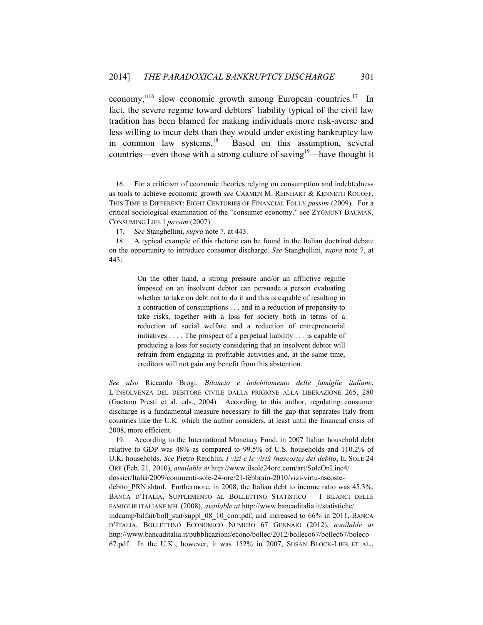economy,"<sup>16</sup> slow economic growth among European countries.<sup>17</sup> In fact, the severe regime toward debtors' liability typical of the civil law tradition has been blamed for making individuals more risk-averse and less willing to incur debt than they would under existing bankruptcy law in common law systems.<sup>18</sup> Based on this assumption, several countries—even those with a strong culture of saving $19$ —have thought it

<u> 1989 - Johann Barn, mars ar breithinn ar chuid ann an t-Alban ann an t-Alban ann an t-Alban ann an t-Alban a</u>

On the other hand, a strong pressure and/or an afflictive regime imposed on an insolvent debtor can persuade a person evaluating whether to take on debt not to do it and this is capable of resulting in a contraction of consumptions . . . and in a reduction of propensity to take risks, together with a loss for society both in terms of a reduction of social welfare and a reduction of entrepreneurial initiatives . . . . The prospect of a perpetual liability . . . is capable of producing a loss for society considering that an insolvent debtor will refrain from engaging in profitable activities and, at the same time, creditors will not gain any benefit from this abstention.

*See also* Riccardo Brogi, *Bilancio e indebitamento delle famiglie italiane*, L'INSOLVENZA DEL DEBITORE CIVILE DALLA PRIGIONE ALLA LIBERAZIONE 265, 280 (Gaetano Presti et al. eds., 2004). According to this author, regulating consumer discharge is a fundamental measure necessary to fill the gap that separates Italy from countries like the U.K. which the author considers, at least until the financial crisis of 2008, more efficient.

19. According to the International Monetary Fund, in 2007 Italian household debt relative to GDP was 48% as compared to 99.5% of U.S. households and 110.2% of U.K. households. *See* Pietro Reichlin, *I vizi e le virtù (nascoste) del debito*, IL SOLE 24 ORE (Feb. 21, 2010), *available at* http://www.ilsole24ore.com/art/SoleOnLine4/ dossier/Italia/2009/commenti-sole-24-ore/21-febbraio-2010/vizi-virtu-nscostedebito\_PRN.shtml. Furthermore, in 2008, the Italian debt to income ratio was 45.3%, BANCA D'ITALIA, SUPPLEMENTO AL BOLLETTINO STATISTICO – I BILANCI DELLE FAMIGLIE ITALIANE NEL (2008), *available at* http://www.bancaditalia.it/statistiche/ indcamp/bilfait/boll\_stat/suppl\_08\_10\_corr.pdf; and increased to 66% in 2011, BANCA D'ITALIA, BOLLETTINO ECONOMICO NUMERO 67 GENNAIO (2012), *available at* http://www.bancaditalia.it/pubblicazioni/econo/bollec/2012/bolleco67/bollec67/boleco\_ 67.pdf. In the U.K., however, it was 152% in 2007, SUSAN BLOCK-LIEB ET AL.,

<sup>16.</sup> For a criticism of economic theories relying on consumption and indebtedness as tools to achieve economic growth *see* CARMEN M. REINHART & KENNETH ROGOFF, THIS TIME IS DIFFERENT: EIGHT CENTURIES OF FINANCIAL FOLLY *passim* (2009). For a critical sociological examination of the "consumer economy," see ZYGMUNT BAUMAN, CONSUMING LIFE 1 *passim* (2007).

<sup>17</sup>*. See* Stanghellini, *supra* note 7, at 443.

<sup>18.</sup> A typical example of this rhetoric can be found in the Italian doctrinal debate on the opportunity to introduce consumer discharge. *See* Stanghellini, *supra* note 7, at 443: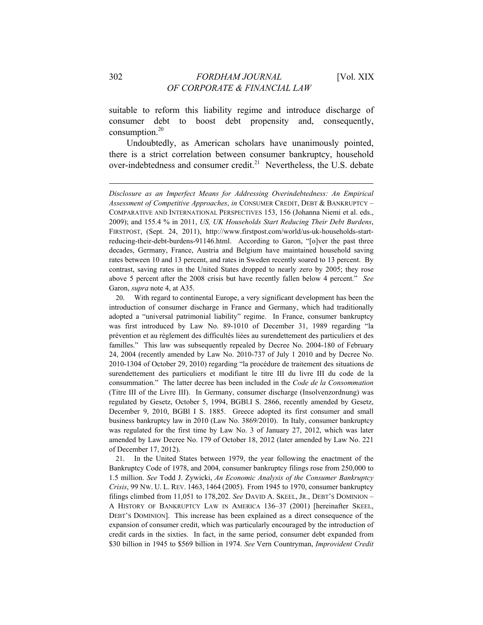suitable to reform this liability regime and introduce discharge of consumer debt to boost debt propensity and, consequently, consumption. $20$ 

Undoubtedly, as American scholars have unanimously pointed, there is a strict correlation between consumer bankruptcy, household over-indebtedness and consumer credit.<sup>21</sup> Nevertheless, the U.S. debate

<u> 1989 - Johann Barn, mars ar breithinn ar chuid ann an t-Alban ann an t-Alban ann an t-Alban ann an t-Alban a</u>

21. In the United States between 1979, the year following the enactment of the Bankruptcy Code of 1978, and 2004, consumer bankruptcy filings rose from 250,000 to 1.5 million. *See* Todd J. Zywicki, *An Economic Analysis of the Consumer Bankruptcy Crisis*, 99 NW. U. L. REV. 1463, 1464 (2005). From 1945 to 1970, consumer bankruptcy filings climbed from 11,051 to 178,202. *See* DAVID A. SKEEL, JR., DEBT'S DOMINION – A HISTORY OF BANKRUPTCY LAW IN AMERICA 136–37 (2001) [hereinafter SKEEL, DEBT'S DOMINION]. This increase has been explained as a direct consequence of the expansion of consumer credit, which was particularly encouraged by the introduction of credit cards in the sixties. In fact, in the same period, consumer debt expanded from \$30 billion in 1945 to \$569 billion in 1974. *See* Vern Countryman, *Improvident Credit* 

*Disclosure as an Imperfect Means for Addressing Overindebtedness: An Empirical Assessment of Competitive Approaches*, *in* CONSUMER CREDIT, DEBT & BANKRUPTCY – COMPARATIVE AND INTERNATIONAL PERSPECTIVES 153, 156 (Johanna Niemi et al. eds., 2009); and 155.4 % in 2011, *US, UK Households Start Reducing Their Debt Burdens*, FIRSTPOST, (Sept. 24, 2011), http://www.firstpost.com/world/us-uk-households-startreducing-their-debt-burdens-91146.html. According to Garon, "[o]ver the past three decades, Germany, France, Austria and Belgium have maintained household saving rates between 10 and 13 percent, and rates in Sweden recently soared to 13 percent. By contrast, saving rates in the United States dropped to nearly zero by 2005; they rose above 5 percent after the 2008 crisis but have recently fallen below 4 percent." *See* Garon, *supra* note 4, at A35.

<sup>20.</sup> With regard to continental Europe, a very significant development has been the introduction of consumer discharge in France and Germany, which had traditionally adopted a "universal patrimonial liability" regime. In France, consumer bankruptcy was first introduced by Law No. 89-1010 of December 31, 1989 regarding "la prévention et au règlement des difficultés liées au surendettement des particuliers et des familles." This law was subsequently repealed by Decree No. 2004-180 of February 24, 2004 (recently amended by Law No. 2010-737 of July 1 2010 and by Decree No. 2010-1304 of October 29, 2010) regarding "la procédure de traitement des situations de surendettement des particuliers et modifiant le titre III du livre III du code de la consummation." The latter decree has been included in the *Code de la Consommation* (Titre III of the Livre III). In Germany, consumer discharge (Insolvenzordnung) was regulated by Gesetz, October 5, 1994, BGBl.I S. 2866, recently amended by Gesetz, December 9, 2010, BGBl I S. 1885. Greece adopted its first consumer and small business bankruptcy law in 2010 (Law No. 3869/2010). In Italy, consumer bankruptcy was regulated for the first time by Law No. 3 of January 27, 2012, which was later amended by Law Decree No. 179 of October 18, 2012 (later amended by Law No. 221 of December 17, 2012).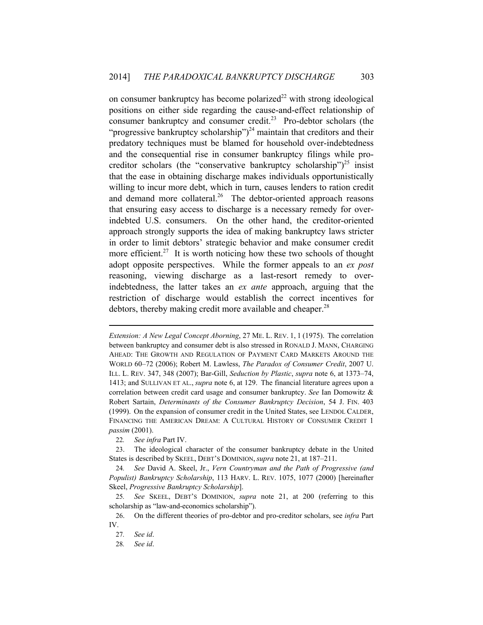on consumer bankruptcy has become polarized $^{22}$  with strong ideological positions on either side regarding the cause-and-effect relationship of consumer bankruptcy and consumer credit.<sup>23</sup> Pro-debtor scholars (the "progressive bankruptcy scholarship")<sup>24</sup> maintain that creditors and their predatory techniques must be blamed for household over-indebtedness and the consequential rise in consumer bankruptcy filings while procreditor scholars (the "conservative bankruptcy scholarship")<sup>25</sup> insist that the ease in obtaining discharge makes individuals opportunistically willing to incur more debt, which in turn, causes lenders to ration credit and demand more collateral.<sup>26</sup> The debtor-oriented approach reasons that ensuring easy access to discharge is a necessary remedy for overindebted U.S. consumers. On the other hand, the creditor-oriented approach strongly supports the idea of making bankruptcy laws stricter in order to limit debtors' strategic behavior and make consumer credit more efficient.<sup>27</sup> It is worth noticing how these two schools of thought adopt opposite perspectives. While the former appeals to an *ex post* reasoning, viewing discharge as a last-resort remedy to overindebtedness, the latter takes an *ex ante* approach, arguing that the restriction of discharge would establish the correct incentives for debtors, thereby making credit more available and cheaper.<sup>28</sup>

<u> 1989 - Johann Barn, mars ann an t-Amhain ann an t-Amhain an t-Amhain an t-Amhain an t-Amhain an t-Amhain an t-</u>

22*. See infra* Part IV.

23. The ideological character of the consumer bankruptcy debate in the United States is described by SKEEL, DEBT'S DOMINION, *supra* note 21, at 187–211.

*Extension: A New Legal Concept Aborning*, 27 ME. L. REV. 1, 1 (1975). The correlation between bankruptcy and consumer debt is also stressed in RONALD J. MANN, CHARGING AHEAD: THE GROWTH AND REGULATION OF PAYMENT CARD MARKETS AROUND THE WORLD 60–72 (2006); Robert M. Lawless, *The Paradox of Consumer Credit*, 2007 U. ILL. L. REV. 347, 348 (2007); Bar-Gill, *Seduction by Plastic*, *supra* note 6, at 1373–74, 1413; and SULLIVAN ET AL., *supra* note 6, at 129. The financial literature agrees upon a correlation between credit card usage and consumer bankruptcy. *See* Ian Domowitz & Robert Sartain, *Determinants of the Consumer Bankruptcy Decision*, 54 J. FIN. 403 (1999). On the expansion of consumer credit in the United States, see LENDOL CALDER, FINANCING THE AMERICAN DREAM: A CULTURAL HISTORY OF CONSUMER CREDIT 1 *passim* (2001).

<sup>24</sup>*. See* David A. Skeel, Jr., *Vern Countryman and the Path of Progressive (and Populist) Bankruptcy Scholarship*, 113 HARV. L. REV. 1075, 1077 (2000) [hereinafter Skeel, *Progressive Bankruptcy Scholarship*].

<sup>25</sup>*. See* SKEEL, DEBT'S DOMINION, *supra* note 21, at 200 (referring to this scholarship as "law-and-economics scholarship").

<sup>26.</sup> On the different theories of pro-debtor and pro-creditor scholars, see *infra* Part IV.

<sup>27</sup>*. See id*.

<sup>28</sup>*. See id*.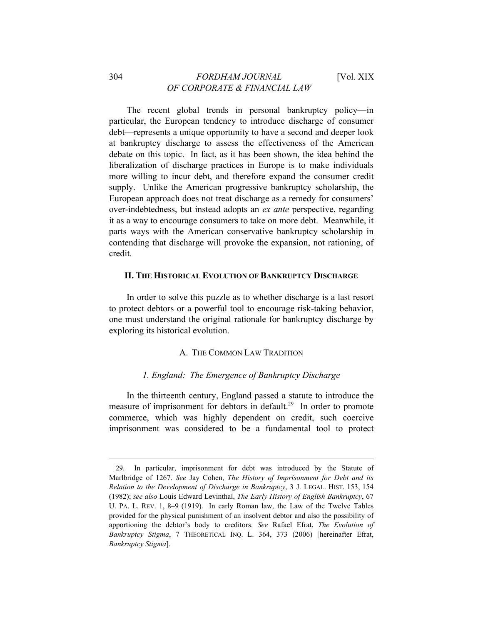The recent global trends in personal bankruptcy policy—in particular, the European tendency to introduce discharge of consumer debt—represents a unique opportunity to have a second and deeper look at bankruptcy discharge to assess the effectiveness of the American debate on this topic. In fact, as it has been shown, the idea behind the liberalization of discharge practices in Europe is to make individuals more willing to incur debt, and therefore expand the consumer credit supply. Unlike the American progressive bankruptcy scholarship, the European approach does not treat discharge as a remedy for consumers' over-indebtedness, but instead adopts an *ex ante* perspective, regarding it as a way to encourage consumers to take on more debt. Meanwhile, it parts ways with the American conservative bankruptcy scholarship in contending that discharge will provoke the expansion, not rationing, of credit.

#### **II. THE HISTORICAL EVOLUTION OF BANKRUPTCY DISCHARGE**

In order to solve this puzzle as to whether discharge is a last resort to protect debtors or a powerful tool to encourage risk-taking behavior, one must understand the original rationale for bankruptcy discharge by exploring its historical evolution.

## A. THE COMMON LAW TRADITION

#### *1. England: The Emergence of Bankruptcy Discharge*

In the thirteenth century, England passed a statute to introduce the measure of imprisonment for debtors in default.<sup>29</sup> In order to promote commerce, which was highly dependent on credit, such coercive imprisonment was considered to be a fundamental tool to protect

<sup>29.</sup> In particular, imprisonment for debt was introduced by the Statute of Marlbridge of 1267. *See* Jay Cohen, *The History of Imprisonment for Debt and its Relation to the Development of Discharge in Bankruptcy*, 3 J. LEGAL. HIST. 153, 154 (1982); *See also* Louis Edward Levinthal, *The Early History of English Bankruptcy*, 67 U. PA. L. REV. 1, 8–9 (1919). In early Roman law, the Law of the Twelve Tables provided for the physical punishment of an insolvent debtor and also the possibility of apportioning the debtor's body to creditors. *See* Rafael Efrat, *The Evolution of Bankruptcy Stigma*, 7 THEORETICAL INQ. L. 364, 373 (2006) [hereinafter Efrat, *Bankruptcy Stigma*].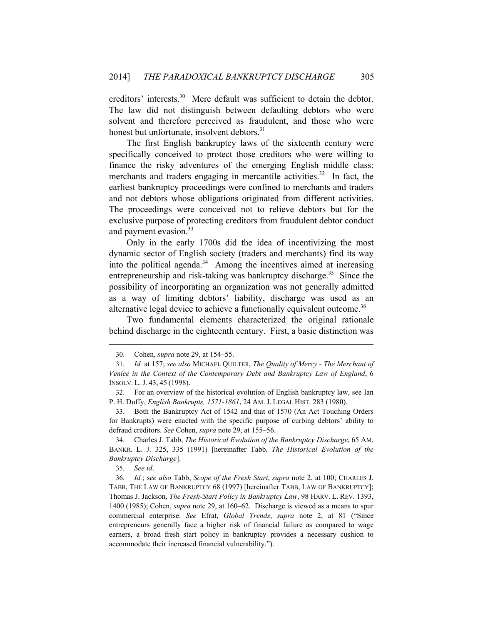creditors' interests.30 Mere default was sufficient to detain the debtor. The law did not distinguish between defaulting debtors who were solvent and therefore perceived as fraudulent, and those who were honest but unfortunate, insolvent debtors. $31$ 

The first English bankruptcy laws of the sixteenth century were specifically conceived to protect those creditors who were willing to finance the risky adventures of the emerging English middle class: merchants and traders engaging in mercantile activities.<sup>32</sup> In fact, the earliest bankruptcy proceedings were confined to merchants and traders and not debtors whose obligations originated from different activities. The proceedings were conceived not to relieve debtors but for the exclusive purpose of protecting creditors from fraudulent debtor conduct and payment evasion.<sup>33</sup>

Only in the early 1700s did the idea of incentivizing the most dynamic sector of English society (traders and merchants) find its way into the political agenda.<sup>34</sup> Among the incentives aimed at increasing entrepreneurship and risk-taking was bankruptcy discharge.<sup>35</sup> Since the possibility of incorporating an organization was not generally admitted as a way of limiting debtors' liability, discharge was used as an alternative legal device to achieve a functionally equivalent outcome.<sup>36</sup>

Two fundamental elements characterized the original rationale behind discharge in the eighteenth century. First, a basic distinction was

<u> 1989 - Johann Barn, mars ann an t-Amhain ann an t-Amhain an t-Amhain an t-Amhain an t-Amhain an t-Amhain an t-</u>

33. Both the Bankruptcy Act of 1542 and that of 1570 (An Act Touching Orders for Bankrupts) were enacted with the specific purpose of curbing debtors' ability to defraud creditors. *See* Cohen, *supra* note 29, at 155–56.

34. Charles J. Tabb, *The Historical Evolution of the Bankruptcy Discharge*, 65 AM. BANKR. L. J. 325, 335 (1991) [hereinafter Tabb, *The Historical Evolution of the Bankruptcy Discharge*].

35*. See id*.

<sup>30.</sup> Cohen, *supra* note 29, at 154–55.

<sup>31</sup>*. Id.* at 157; *see also* MICHAEL QUILTER, *The Quality of Mercy - The Merchant of Venice in the Context of the Contemporary Debt and Bankruptcy Law of England*, 6 INSOLV. L. J. 43, 45 (1998).

<sup>32.</sup> For an overview of the historical evolution of English bankruptcy law, see Ian P. H. Duffy, *English Bankrupts, 1571-1861*, 24 AM. J. LEGAL HIST. 283 (1980).

<sup>36</sup>*. Id.*; s*ee also* Tabb, *Scope of the Fresh Start*, *supra* note 2, at 100; CHARLES J. TABB, THE LAW OF BANKRUPTCY 68 (1997) [hereinafter TABB, LAW OF BANKRUPTCY]; Thomas J. Jackson, *The Fresh-Start Policy in Bankruptcy Law*, 98 HARV. L. REV. 1393, 1400 (1985); Cohen, *supra* note 29, at 160–62. Discharge is viewed as a means to spur commercial enterprise. *See* Efrat, *Global Trends*, *supra* note 2, at 81 ("Since entrepreneurs generally face a higher risk of financial failure as compared to wage earners, a broad fresh start policy in bankruptcy provides a necessary cushion to accommodate their increased financial vulnerability.").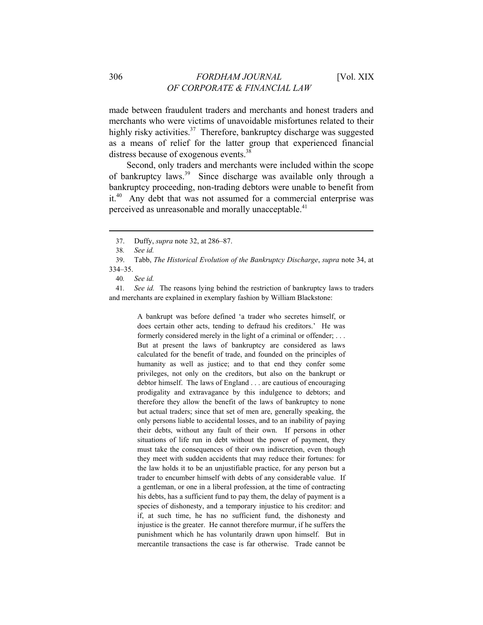made between fraudulent traders and merchants and honest traders and merchants who were victims of unavoidable misfortunes related to their highly risky activities.<sup>37</sup> Therefore, bankruptcy discharge was suggested as a means of relief for the latter group that experienced financial distress because of exogenous events.<sup>38</sup>

Second, only traders and merchants were included within the scope of bankruptcy laws.39 Since discharge was available only through a bankruptcy proceeding, non-trading debtors were unable to benefit from  $it<sup>40</sup>$  Any debt that was not assumed for a commercial enterprise was perceived as unreasonable and morally unacceptable.<sup>41</sup>

<u> 1989 - Johann Barn, mars ann an t-Amhain ann an t-Amhain an t-Amhain an t-Amhain an t-Amhain an t-Amhain an t-</u>

A bankrupt was before defined 'a trader who secretes himself, or does certain other acts, tending to defraud his creditors.' He was formerly considered merely in the light of a criminal or offender; . . . But at present the laws of bankruptcy are considered as laws calculated for the benefit of trade, and founded on the principles of humanity as well as justice; and to that end they confer some privileges, not only on the creditors, but also on the bankrupt or debtor himself. The laws of England . . . are cautious of encouraging prodigality and extravagance by this indulgence to debtors; and therefore they allow the benefit of the laws of bankruptcy to none but actual traders; since that set of men are, generally speaking, the only persons liable to accidental losses, and to an inability of paying their debts, without any fault of their own. If persons in other situations of life run in debt without the power of payment, they must take the consequences of their own indiscretion, even though they meet with sudden accidents that may reduce their fortunes: for the law holds it to be an unjustifiable practice, for any person but a trader to encumber himself with debts of any considerable value. If a gentleman, or one in a liberal profession, at the time of contracting his debts, has a sufficient fund to pay them, the delay of payment is a species of dishonesty, and a temporary injustice to his creditor: and if, at such time, he has no sufficient fund, the dishonesty and injustice is the greater. He cannot therefore murmur, if he suffers the punishment which he has voluntarily drawn upon himself. But in mercantile transactions the case is far otherwise. Trade cannot be

<sup>37.</sup> Duffy, *supra* note 32, at 286–87.

<sup>38</sup>*. See id.*

<sup>39.</sup> Tabb, *The Historical Evolution of the Bankruptcy Discharge*, *supra* note 34, at 334–35.

<sup>40</sup>*. See id.* 

<sup>41</sup>*. See id.* The reasons lying behind the restriction of bankruptcy laws to traders and merchants are explained in exemplary fashion by William Blackstone: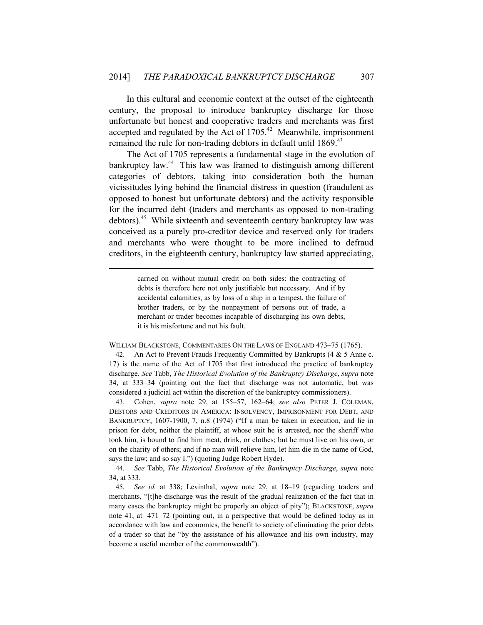In this cultural and economic context at the outset of the eighteenth century, the proposal to introduce bankruptcy discharge for those unfortunate but honest and cooperative traders and merchants was first accepted and regulated by the Act of  $1705<sup>42</sup>$  Meanwhile, imprisonment remained the rule for non-trading debtors in default until 1869.<sup>43</sup>

The Act of 1705 represents a fundamental stage in the evolution of bankruptcy law.44 This law was framed to distinguish among different categories of debtors, taking into consideration both the human vicissitudes lying behind the financial distress in question (fraudulent as opposed to honest but unfortunate debtors) and the activity responsible for the incurred debt (traders and merchants as opposed to non-trading debtors).45 While sixteenth and seventeenth century bankruptcy law was conceived as a purely pro-creditor device and reserved only for traders and merchants who were thought to be more inclined to defraud creditors, in the eighteenth century, bankruptcy law started appreciating,

> carried on without mutual credit on both sides: the contracting of debts is therefore here not only justifiable but necessary. And if by accidental calamities, as by loss of a ship in a tempest, the failure of brother traders, or by the nonpayment of persons out of trade, a merchant or trader becomes incapable of discharging his own debts, it is his misfortune and not his fault.

<u> 1989 - Johann Barn, mars ann an t-Amhain ann an t-Amhain an t-Amhain an t-Amhain an t-Amhain an t-Amhain an t-</u>

WILLIAM BLACKSTONE, COMMENTARIES ON THE LAWS OF ENGLAND 473–75 (1765).

42. An Act to Prevent Frauds Frequently Committed by Bankrupts (4 & 5 Anne c. 17) is the name of the Act of 1705 that first introduced the practice of bankruptcy discharge. *See* Tabb, *The Historical Evolution of the Bankruptcy Discharge*, *supra* note 34, at 333–34 (pointing out the fact that discharge was not automatic, but was considered a judicial act within the discretion of the bankruptcy commissioners).

43. Cohen, *supra* note 29, at 155–57, 162–64; *see also* PETER J. COLEMAN, DEBTORS AND CREDITORS IN AMERICA: INSOLVENCY, IMPRISONMENT FOR DEBT, AND BANKRUPTCY, 1607-1900, 7, n.8 (1974) ("If a man be taken in execution, and lie in prison for debt, neither the plaintiff, at whose suit he is arrested, nor the sheriff who took him, is bound to find him meat, drink, or clothes; but he must live on his own, or on the charity of others; and if no man will relieve him, let him die in the name of God, says the law; and so say I.") (quoting Judge Robert Hyde).

44*. See* Tabb, *The Historical Evolution of the Bankruptcy Discharge*, *supra* note 34, at 333.

45*. See id.* at 338; Levinthal, *supra* note 29, at 18–19 (regarding traders and merchants, "[t]he discharge was the result of the gradual realization of the fact that in many cases the bankruptcy might be properly an object of pity"); BLACKSTONE, *supra* note 41, at 471–72 (pointing out, in a perspective that would be defined today as in accordance with law and economics, the benefit to society of eliminating the prior debts of a trader so that he "by the assistance of his allowance and his own industry, may become a useful member of the commonwealth").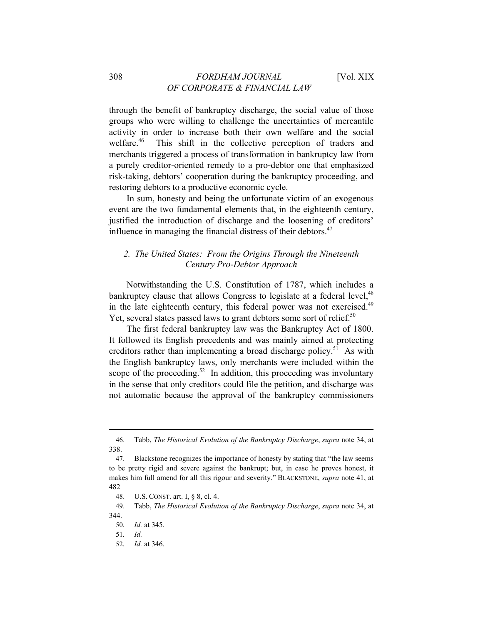through the benefit of bankruptcy discharge, the social value of those groups who were willing to challenge the uncertainties of mercantile activity in order to increase both their own welfare and the social welfare.<sup>46</sup> This shift in the collective perception of traders and merchants triggered a process of transformation in bankruptcy law from a purely creditor-oriented remedy to a pro-debtor one that emphasized risk-taking, debtors' cooperation during the bankruptcy proceeding, and restoring debtors to a productive economic cycle.

In sum, honesty and being the unfortunate victim of an exogenous event are the two fundamental elements that, in the eighteenth century, justified the introduction of discharge and the loosening of creditors' influence in managing the financial distress of their debtors.<sup>47</sup>

## *2. The United States: From the Origins Through the Nineteenth Century Pro-Debtor Approach*

Notwithstanding the U.S. Constitution of 1787, which includes a bankruptcy clause that allows Congress to legislate at a federal level, $48$ in the late eighteenth century, this federal power was not exercised.<sup>49</sup> Yet, several states passed laws to grant debtors some sort of relief.<sup>50</sup>

The first federal bankruptcy law was the Bankruptcy Act of 1800. It followed its English precedents and was mainly aimed at protecting creditors rather than implementing a broad discharge policy.<sup>51</sup> As with the English bankruptcy laws, only merchants were included within the scope of the proceeding.<sup>52</sup> In addition, this proceeding was involuntary in the sense that only creditors could file the petition, and discharge was not automatic because the approval of the bankruptcy commissioners

<sup>&</sup>lt;u> 1989 - Johann Barn, mars ann an t-Amhain ann an t-Amhain an t-Amhain an t-Amhain an t-Amhain an t-Amhain an t-</u> 46. Tabb, *The Historical Evolution of the Bankruptcy Discharge*, *supra* note 34, at 338.

<sup>47.</sup> Blackstone recognizes the importance of honesty by stating that "the law seems to be pretty rigid and severe against the bankrupt; but, in case he proves honest, it makes him full amend for all this rigour and severity." BLACKSTONE, *supra* note 41, at 482

<sup>48.</sup> U.S. CONST. art. I, § 8, cl. 4.

<sup>49.</sup> Tabb, *The Historical Evolution of the Bankruptcy Discharge*, *supra* note 34, at 344.

<sup>50</sup>*. Id.* at 345.

<sup>51</sup>*. Id.*

<sup>52</sup>*. Id.* at 346.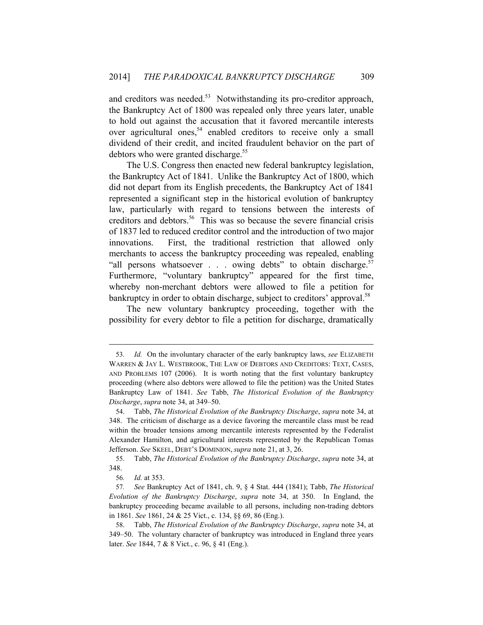and creditors was needed. $53$  Notwithstanding its pro-creditor approach, the Bankruptcy Act of 1800 was repealed only three years later, unable to hold out against the accusation that it favored mercantile interests over agricultural ones,  $54$  enabled creditors to receive only a small dividend of their credit, and incited fraudulent behavior on the part of debtors who were granted discharge. $55$ 

The U.S. Congress then enacted new federal bankruptcy legislation, the Bankruptcy Act of 1841. Unlike the Bankruptcy Act of 1800, which did not depart from its English precedents, the Bankruptcy Act of 1841 represented a significant step in the historical evolution of bankruptcy law, particularly with regard to tensions between the interests of creditors and debtors.<sup>56</sup> This was so because the severe financial crisis of 1837 led to reduced creditor control and the introduction of two major innovations. First, the traditional restriction that allowed only merchants to access the bankruptcy proceeding was repealed, enabling "all persons whatsoever . . . owing debts" to obtain discharge.<sup>57</sup> Furthermore, "voluntary bankruptcy" appeared for the first time, whereby non-merchant debtors were allowed to file a petition for bankruptcy in order to obtain discharge, subject to creditors' approval.<sup>58</sup>

The new voluntary bankruptcy proceeding, together with the possibility for every debtor to file a petition for discharge, dramatically

<sup>53</sup>*. Id.* On the involuntary character of the early bankruptcy laws, *see* ELIZABETH WARREN & JAY L. WESTBROOK, THE LAW OF DEBTORS AND CREDITORS: TEXT, CASES, AND PROBLEMS 107 (2006). It is worth noting that the first voluntary bankruptcy proceeding (where also debtors were allowed to file the petition) was the United States Bankruptcy Law of 1841. *See* Tabb, *The Historical Evolution of the Bankruptcy Discharge*, *supra* note 34, at 349–50.

<sup>54.</sup> Tabb, *The Historical Evolution of the Bankruptcy Discharge*, *supra* note 34, at 348. The criticism of discharge as a device favoring the mercantile class must be read within the broader tensions among mercantile interests represented by the Federalist Alexander Hamilton, and agricultural interests represented by the Republican Tomas Jefferson. *See* SKEEL, DEBT'S DOMINION, *supra* note 21, at 3, 26.

<sup>55.</sup> Tabb, *The Historical Evolution of the Bankruptcy Discharge*, *supra* note 34, at 348.

<sup>56</sup>*. Id.* at 353.

<sup>57</sup>*. See* Bankruptcy Act of 1841, ch. 9, § 4 Stat. 444 (1841); Tabb, *The Historical Evolution of the Bankruptcy Discharge*, *supra* note 34, at 350. In England, the bankruptcy proceeding became available to all persons, including non-trading debtors in 1861. *See* 1861, 24 & 25 Vict., c. 134, §§ 69, 86 (Eng.).

<sup>58.</sup> Tabb, *The Historical Evolution of the Bankruptcy Discharge*, *supra* note 34, at 349–50. The voluntary character of bankruptcy was introduced in England three years later. *See* 1844, 7 & 8 Vict., c. 96, § 41 (Eng.).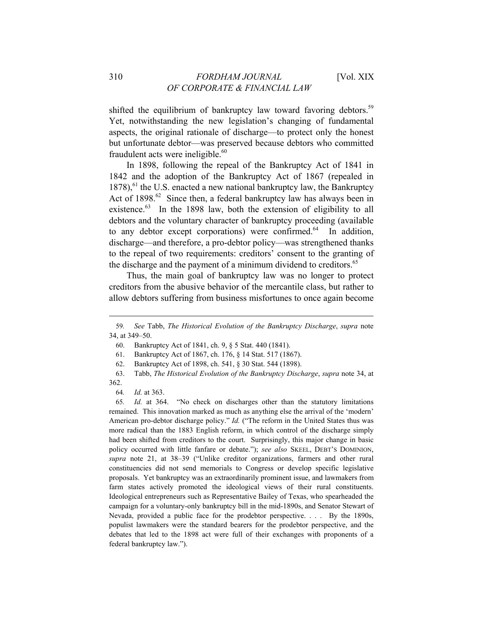shifted the equilibrium of bankruptcy law toward favoring debtors.<sup>59</sup> Yet, notwithstanding the new legislation's changing of fundamental aspects, the original rationale of discharge—to protect only the honest but unfortunate debtor—was preserved because debtors who committed fraudulent acts were ineligible.<sup>60</sup>

In 1898, following the repeal of the Bankruptcy Act of 1841 in 1842 and the adoption of the Bankruptcy Act of 1867 (repealed in  $1878$ ), <sup>61</sup> the U.S. enacted a new national bankruptcy law, the Bankruptcy Act of 1898.<sup>62</sup> Since then, a federal bankruptcy law has always been in existence. $63$  In the 1898 law, both the extension of eligibility to all debtors and the voluntary character of bankruptcy proceeding (available to any debtor except corporations) were confirmed.<sup>64</sup> In addition, discharge—and therefore, a pro-debtor policy—was strengthened thanks to the repeal of two requirements: creditors' consent to the granting of the discharge and the payment of a minimum dividend to creditors.<sup>65</sup>

Thus, the main goal of bankruptcy law was no longer to protect creditors from the abusive behavior of the mercantile class, but rather to allow debtors suffering from business misfortunes to once again become

63. Tabb, *The Historical Evolution of the Bankruptcy Discharge*, *supra* note 34, at 362.

64*. Id.* at 363.

65*. Id.* at 364. "No check on discharges other than the statutory limitations remained. This innovation marked as much as anything else the arrival of the 'modern' American pro-debtor discharge policy." *Id.* ("The reform in the United States thus was more radical than the 1883 English reform, in which control of the discharge simply had been shifted from creditors to the court. Surprisingly, this major change in basic policy occurred with little fanfare or debate."); *see also* SKEEL, DEBT'S DOMINION, *supra* note 21, at 38–39 ("Unlike creditor organizations, farmers and other rural constituencies did not send memorials to Congress or develop specific legislative proposals. Yet bankruptcy was an extraordinarily prominent issue, and lawmakers from farm states actively promoted the ideological views of their rural constituents. Ideological entrepreneurs such as Representative Bailey of Texas, who spearheaded the campaign for a voluntary-only bankruptcy bill in the mid-1890s, and Senator Stewart of Nevada, provided a public face for the prodebtor perspective. . . . By the 1890s, populist lawmakers were the standard bearers for the prodebtor perspective, and the debates that led to the 1898 act were full of their exchanges with proponents of a federal bankruptcy law.").

<sup>&</sup>lt;u> 1989 - Johann Barn, mars ann an t-Amhain ann an t-Amhain an t-Amhain an t-Amhain an t-Amhain an t-Amhain an t-</u> 59*. See* Tabb, *The Historical Evolution of the Bankruptcy Discharge*, *supra* note 34, at 349–50.

<sup>60.</sup> Bankruptcy Act of 1841, ch. 9, § 5 Stat. 440 (1841).

<sup>61.</sup> Bankruptcy Act of 1867, ch. 176, § 14 Stat. 517 (1867).

<sup>62.</sup> Bankruptcy Act of 1898, ch. 541, § 30 Stat. 544 (1898).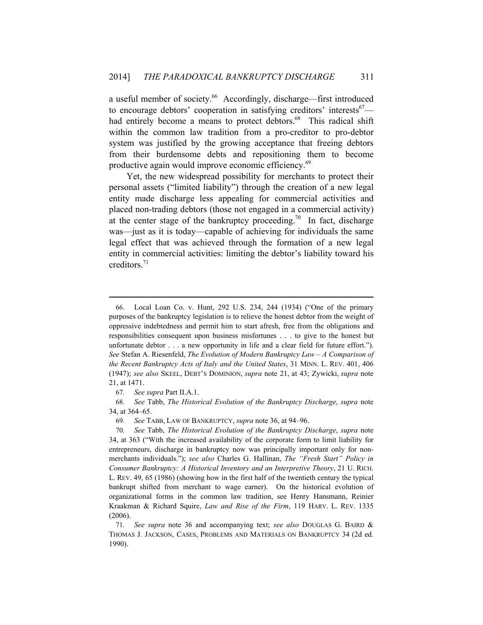a useful member of society.<sup>66</sup> Accordingly, discharge—first introduced to encourage debtors' cooperation in satisfying creditors' interests $67$  had entirely become a means to protect debtors.<sup>68</sup> This radical shift within the common law tradition from a pro-creditor to pro-debtor system was justified by the growing acceptance that freeing debtors from their burdensome debts and repositioning them to become productive again would improve economic efficiency.<sup>69</sup>

Yet, the new widespread possibility for merchants to protect their personal assets ("limited liability") through the creation of a new legal entity made discharge less appealing for commercial activities and placed non-trading debtors (those not engaged in a commercial activity) at the center stage of the bankruptcy proceeding.<sup>70</sup> In fact, discharge was—just as it is today—capable of achieving for individuals the same legal effect that was achieved through the formation of a new legal entity in commercial activities: limiting the debtor's liability toward his creditors. $71$ 

<sup>66.</sup> Local Loan Co. v. Hunt, 292 U.S. 234, 244 (1934) ("One of the primary purposes of the bankruptcy legislation is to relieve the honest debtor from the weight of oppressive indebtedness and permit him to start afresh, free from the obligations and responsibilities consequent upon business misfortunes . . . to give to the honest but unfortunate debtor . . . a new opportunity in life and a clear field for future effort."). *See* Stefan A. Riesenfeld, *The Evolution of Modern Bankruptcy Law – A Comparison of the Recent Bankruptcy Acts of Italy and the United States*, 31 MINN. L. REV. 401, 406 (1947); *see also* SKEEL, DEBT'S DOMINION, *supra* note 21, at 43; Zywicki, *supra* note 21, at 1471.

<sup>67</sup>*. See supra* Part II.A.1.

<sup>68</sup>*. See* Tabb, *The Historical Evolution of the Bankruptcy Discharge*, *supra* note 34, at 364–65.

<sup>69</sup>*. See* TABB, LAW OF BANKRUPTCY, *supra* note 36, at 94–96.

<sup>70</sup>*. See* Tabb, *The Historical Evolution of the Bankruptcy Discharge*, *supra* note 34, at 363 ("With the increased availability of the corporate form to limit liability for entrepreneurs, discharge in bankruptcy now was principally important only for nonmerchants individuals."); *see also* Charles G. Hallinan, *The "Fresh Start" Policy in Consumer Bankruptcy: A Historical Inventory and an Interpretive Theory*, 21 U. RICH. L. REV. 49, 65 (1986) (showing how in the first half of the twentieth century the typical bankrupt shifted from merchant to wage earner). On the historical evolution of organizational forms in the common law tradition, see Henry Hansmann, Reinier Kraakman & Richard Squire, *Law and Rise of the Firm*, 119 HARV. L. REV. 1335 (2006).

<sup>71</sup>*. See supra* note 36 and accompanying text; *see also* DOUGLAS G. BAIRD & THOMAS J. JACKSON, CASES, PROBLEMS AND MATERIALS ON BANKRUPTCY 34 (2d ed. 1990).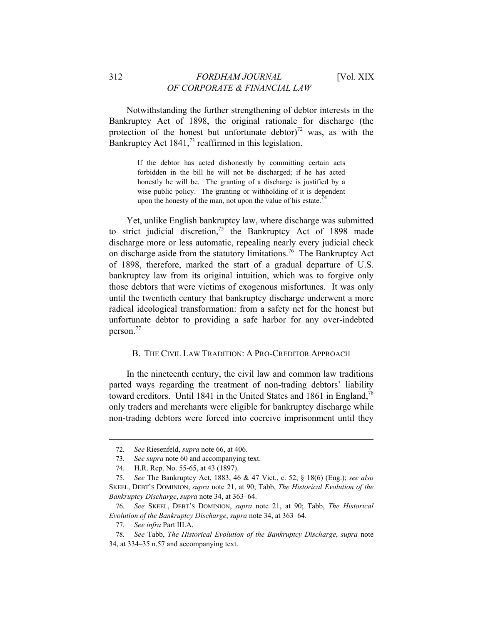Notwithstanding the further strengthening of debtor interests in the Bankruptcy Act of 1898, the original rationale for discharge (the protection of the honest but unfortunate debtor)<sup>72</sup> was, as with the Bankruptcy Act  $1841<sup>73</sup>$  reaffirmed in this legislation.

> If the debtor has acted dishonestly by committing certain acts forbidden in the bill he will not be discharged; if he has acted honestly he will be. The granting of a discharge is justified by a wise public policy. The granting or withholding of it is dependent upon the honesty of the man, not upon the value of his estate.<sup>7</sup>

Yet, unlike English bankruptcy law, where discharge was submitted to strict judicial discretion,<sup>75</sup> the Bankruptcy Act of 1898 made discharge more or less automatic, repealing nearly every judicial check on discharge aside from the statutory limitations.<sup>76</sup> The Bankruptcy Act of 1898, therefore, marked the start of a gradual departure of U.S. bankruptcy law from its original intuition, which was to forgive only those debtors that were victims of exogenous misfortunes. It was only until the twentieth century that bankruptcy discharge underwent a more radical ideological transformation: from a safety net for the honest but unfortunate debtor to providing a safe harbor for any over-indebted person.77

## B. THE CIVIL LAW TRADITION: A PRO-CREDITOR APPROACH

In the nineteenth century, the civil law and common law traditions parted ways regarding the treatment of non-trading debtors' liability toward creditors. Until 1841 in the United States and 1861 in England.<sup>78</sup> only traders and merchants were eligible for bankruptcy discharge while non-trading debtors were forced into coercive imprisonment until they

<sup>72</sup>*. See* Riesenfeld, *supra* note 66, at 406.

<sup>73</sup>*. See supra* note 60 and accompanying text.

<sup>74.</sup> H.R. Rep. No. 55-65, at 43 (1897).

<sup>75</sup>*. See* The Bankruptcy Act, 1883, 46 & 47 Vict., c. 52, § 18(6) (Eng.); *see also* SKEEL, DEBT'S DOMINION, *supra* note 21, at 90; Tabb, *The Historical Evolution of the Bankruptcy Discharge*, *supra* note 34, at 363–64.

<sup>76</sup>*. See* SKEEL, DEBT'S DOMINION, *supra* note 21, at 90; Tabb, *The Historical Evolution of the Bankruptcy Discharge*, *supra* note 34, at 363–64.

<sup>77</sup>*. See infra* Part III.A.

<sup>78</sup>*. See* Tabb, *The Historical Evolution of the Bankruptcy Discharge*, *supra* note 34, at 334–35 n.57 and accompanying text.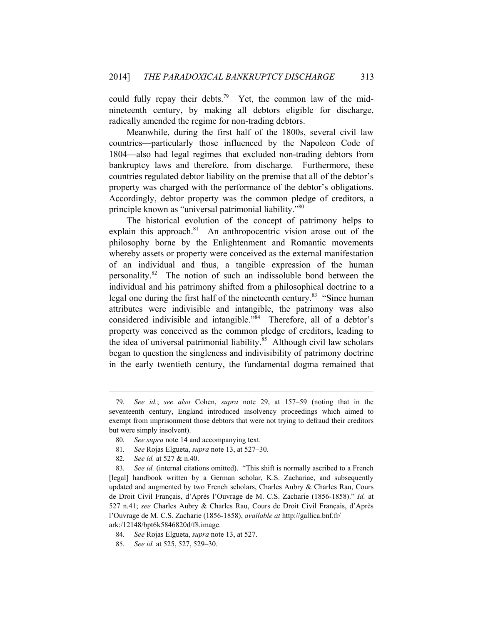could fully repay their debts.<sup>79</sup> Yet, the common law of the midnineteenth century, by making all debtors eligible for discharge, radically amended the regime for non-trading debtors.

Meanwhile, during the first half of the 1800s, several civil law countries—particularly those influenced by the Napoleon Code of 1804—also had legal regimes that excluded non-trading debtors from bankruptcy laws and therefore, from discharge. Furthermore, these countries regulated debtor liability on the premise that all of the debtor's property was charged with the performance of the debtor's obligations. Accordingly, debtor property was the common pledge of creditors, a principle known as "universal patrimonial liability."80

The historical evolution of the concept of patrimony helps to explain this approach. $81$  An anthropocentric vision arose out of the philosophy borne by the Enlightenment and Romantic movements whereby assets or property were conceived as the external manifestation of an individual and thus, a tangible expression of the human personality.82 The notion of such an indissoluble bond between the individual and his patrimony shifted from a philosophical doctrine to a legal one during the first half of the nineteenth century.<sup>83</sup> "Since human" attributes were indivisible and intangible, the patrimony was also considered indivisible and intangible."<sup>84</sup> Therefore, all of a debtor's property was conceived as the common pledge of creditors, leading to the idea of universal patrimonial liability. $85$  Although civil law scholars began to question the singleness and indivisibility of patrimony doctrine in the early twentieth century, the fundamental dogma remained that

<sup>79</sup>*. See id.*; *see also* Cohen, *supra* note 29, at 157–59 (noting that in the seventeenth century, England introduced insolvency proceedings which aimed to exempt from imprisonment those debtors that were not trying to defraud their creditors but were simply insolvent).

<sup>80</sup>*. See supra* note 14 and accompanying text.

<sup>81</sup>*. See* Rojas Elgueta, *supra* note 13, at 527–30.

<sup>82</sup>*. See id.* at 527 & n.40.

<sup>83</sup>*. See id.* (internal citations omitted). "This shift is normally ascribed to a French [legal] handbook written by a German scholar, K.S. Zachariae, and subsequently updated and augmented by two French scholars, Charles Aubry & Charles Rau, Cours de Droit Civil Français, d'Après l'Ouvrage de M. C.S. Zacharie (1856-1858)." *Id.* at 527 n.41; *see* Charles Aubry & Charles Rau, Cours de Droit Civil Français, d'Après l'Ouvrage de M. C.S. Zacharie (1856-1858), *available at* http://gallica.bnf.fr/ ark:/12148/bpt6k5846820d/f8.image.

<sup>84</sup>*. See* Rojas Elgueta, *supra* note 13, at 527.

<sup>85</sup>*. See id.* at 525, 527, 529–30.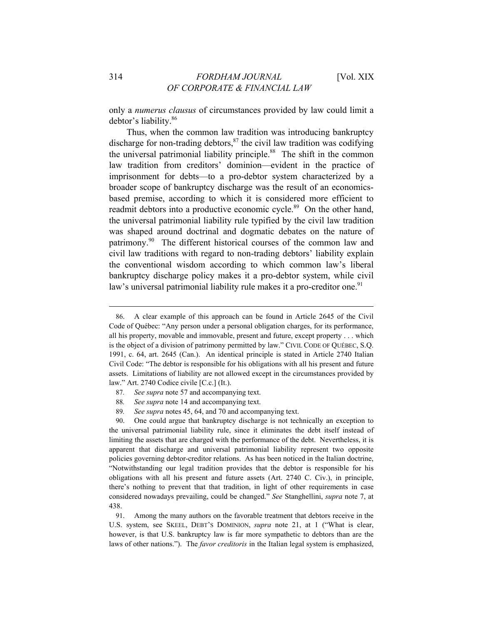only a *numerus clausus* of circumstances provided by law could limit a debtor's liability.86

Thus, when the common law tradition was introducing bankruptcy discharge for non-trading debtors, $87$  the civil law tradition was codifying the universal patrimonial liability principle.<sup>88</sup> The shift in the common law tradition from creditors' dominion—evident in the practice of imprisonment for debts—to a pro-debtor system characterized by a broader scope of bankruptcy discharge was the result of an economicsbased premise, according to which it is considered more efficient to readmit debtors into a productive economic cycle.<sup>89</sup> On the other hand, the universal patrimonial liability rule typified by the civil law tradition was shaped around doctrinal and dogmatic debates on the nature of patrimony.<sup>90</sup> The different historical courses of the common law and civil law traditions with regard to non-trading debtors' liability explain the conventional wisdom according to which common law's liberal bankruptcy discharge policy makes it a pro-debtor system, while civil law's universal patrimonial liability rule makes it a pro-creditor one.<sup>91</sup>

<u> 1989 - Johann Barn, mars ar breithinn ar chuid ann an t-Alban ann an t-Alban ann an t-Alban ann an t-Alban a</u>

89*. See supra* notes 45, 64, and 70 and accompanying text.

<sup>86.</sup> A clear example of this approach can be found in Article 2645 of the Civil Code of Québec: "Any person under a personal obligation charges, for its performance, all his property, movable and immovable, present and future, except property . . . which is the object of a division of patrimony permitted by law." CIVIL CODE OF QUÉBEC, S.Q. 1991, c. 64, art. 2645 (Can.). An identical principle is stated in Article 2740 Italian Civil Code: "The debtor is responsible for his obligations with all his present and future assets. Limitations of liability are not allowed except in the circumstances provided by law." Art. 2740 Codice civile [C.c.] (It.).

<sup>87</sup>*. See supra* note 57 and accompanying text.

<sup>88</sup>*. See supra* note 14 and accompanying text.

<sup>90.</sup> One could argue that bankruptcy discharge is not technically an exception to the universal patrimonial liability rule, since it eliminates the debt itself instead of limiting the assets that are charged with the performance of the debt. Nevertheless, it is apparent that discharge and universal patrimonial liability represent two opposite policies governing debtor-creditor relations. As has been noticed in the Italian doctrine, "Notwithstanding our legal tradition provides that the debtor is responsible for his obligations with all his present and future assets (Art. 2740 C. Civ.), in principle, there's nothing to prevent that that tradition, in light of other requirements in case considered nowadays prevailing, could be changed." *See* Stanghellini, *supra* note 7, at 438.

<sup>91.</sup> Among the many authors on the favorable treatment that debtors receive in the U.S. system, see SKEEL, DEBT'S DOMINION, *supra* note 21, at 1 ("What is clear, however, is that U.S. bankruptcy law is far more sympathetic to debtors than are the laws of other nations."). The *favor creditoris* in the Italian legal system is emphasized,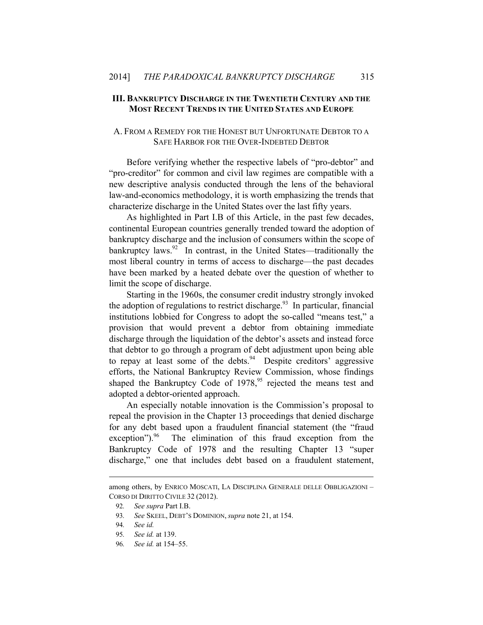#### **III. BANKRUPTCY DISCHARGE IN THE TWENTIETH CENTURY AND THE MOST RECENT TRENDS IN THE UNITED STATES AND EUROPE**

## A. FROM A REMEDY FOR THE HONEST BUT UNFORTUNATE DEBTOR TO A SAFE HARBOR FOR THE OVER-INDEBTED DEBTOR

Before verifying whether the respective labels of "pro-debtor" and "pro-creditor" for common and civil law regimes are compatible with a new descriptive analysis conducted through the lens of the behavioral law-and-economics methodology, it is worth emphasizing the trends that characterize discharge in the United States over the last fifty years.

As highlighted in Part I.B of this Article, in the past few decades, continental European countries generally trended toward the adoption of bankruptcy discharge and the inclusion of consumers within the scope of bankruptcy laws. $92$  In contrast, in the United States—traditionally the most liberal country in terms of access to discharge—the past decades have been marked by a heated debate over the question of whether to limit the scope of discharge.

Starting in the 1960s, the consumer credit industry strongly invoked the adoption of regulations to restrict discharge.<sup>93</sup> In particular, financial institutions lobbied for Congress to adopt the so-called "means test," a provision that would prevent a debtor from obtaining immediate discharge through the liquidation of the debtor's assets and instead force that debtor to go through a program of debt adjustment upon being able to repay at least some of the debts. $94$  Despite creditors' aggressive efforts, the National Bankruptcy Review Commission, whose findings shaped the Bankruptcy Code of  $1978<sup>95</sup>$  rejected the means test and adopted a debtor-oriented approach.

An especially notable innovation is the Commission's proposal to repeal the provision in the Chapter 13 proceedings that denied discharge for any debt based upon a fraudulent financial statement (the "fraud exception"). $96$  The elimination of this fraud exception from the Bankruptcy Code of 1978 and the resulting Chapter 13 "super discharge," one that includes debt based on a fraudulent statement,

among others, by ENRICO MOSCATI, LA DISCIPLINA GENERALE DELLE OBBLIGAZIONI – CORSO DI DIRITTO CIVILE 32 (2012).

<sup>92</sup>*. See supra* Part I.B.

<sup>93</sup>*. See* SKEEL, DEBT'S DOMINION, *supra* note 21, at 154.

<sup>94</sup>*. See id.* 

<sup>95</sup>*. See id.* at 139.

<sup>96</sup>*. See id.* at 154–55.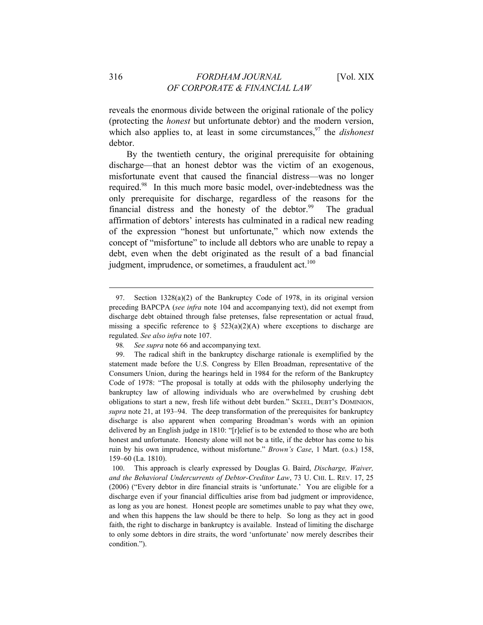reveals the enormous divide between the original rationale of the policy (protecting the *honest* but unfortunate debtor) and the modern version, which also applies to, at least in some circumstances.<sup>97</sup> the *dishonest* debtor.

By the twentieth century, the original prerequisite for obtaining discharge—that an honest debtor was the victim of an exogenous, misfortunate event that caused the financial distress—was no longer required.98 In this much more basic model, over-indebtedness was the only prerequisite for discharge, regardless of the reasons for the financial distress and the honesty of the debtor. $99$  The gradual affirmation of debtors' interests has culminated in a radical new reading of the expression "honest but unfortunate," which now extends the concept of "misfortune" to include all debtors who are unable to repay a debt, even when the debt originated as the result of a bad financial judgment, imprudence, or sometimes, a fraudulent  $act.^{100}$ 

<sup>97.</sup> Section 1328(a)(2) of the Bankruptcy Code of 1978, in its original version preceding BAPCPA (*see infra* note 104 and accompanying text), did not exempt from discharge debt obtained through false pretenses, false representation or actual fraud, missing a specific reference to §  $523(a)(2)(A)$  where exceptions to discharge are regulated. *See also infra* note 107.

<sup>98</sup>*. See supra* note 66 and accompanying text.

<sup>99.</sup> The radical shift in the bankruptcy discharge rationale is exemplified by the statement made before the U.S. Congress by Ellen Broadman, representative of the Consumers Union, during the hearings held in 1984 for the reform of the Bankruptcy Code of 1978: "The proposal is totally at odds with the philosophy underlying the bankruptcy law of allowing individuals who are overwhelmed by crushing debt obligations to start a new, fresh life without debt burden." SKEEL, DEBT'S DOMINION, *supra* note 21, at 193–94. The deep transformation of the prerequisites for bankruptcy discharge is also apparent when comparing Broadman's words with an opinion delivered by an English judge in 1810: "[r]elief is to be extended to those who are both honest and unfortunate. Honesty alone will not be a title, if the debtor has come to his ruin by his own imprudence, without misfortune." *Brown's Case*, 1 Mart. (o.s.) 158, 159–60 (La. 1810).

<sup>100.</sup> This approach is clearly expressed by Douglas G. Baird, *Discharge, Waiver, and the Behavioral Undercurrents of Debtor-Creditor Law*, 73 U. CHI. L. REV. 17, 25 (2006) ("Every debtor in dire financial straits is 'unfortunate.' You are eligible for a discharge even if your financial difficulties arise from bad judgment or improvidence, as long as you are honest. Honest people are sometimes unable to pay what they owe, and when this happens the law should be there to help. So long as they act in good faith, the right to discharge in bankruptcy is available. Instead of limiting the discharge to only some debtors in dire straits, the word 'unfortunate' now merely describes their condition.").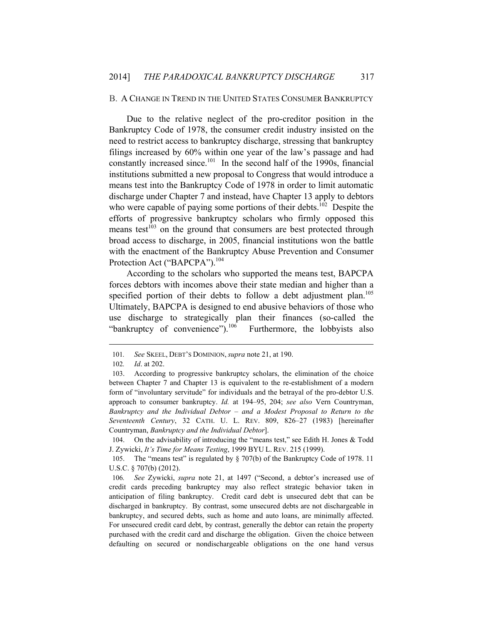#### B. A CHANGE IN TREND IN THE UNITED STATES CONSUMER BANKRUPTCY

Due to the relative neglect of the pro-creditor position in the Bankruptcy Code of 1978, the consumer credit industry insisted on the need to restrict access to bankruptcy discharge, stressing that bankruptcy filings increased by 60% within one year of the law's passage and had constantly increased since.<sup>101</sup> In the second half of the 1990s, financial institutions submitted a new proposal to Congress that would introduce a means test into the Bankruptcy Code of 1978 in order to limit automatic discharge under Chapter 7 and instead, have Chapter 13 apply to debtors who were capable of paying some portions of their debts.<sup>102</sup> Despite the efforts of progressive bankruptcy scholars who firmly opposed this means test<sup>103</sup> on the ground that consumers are best protected through broad access to discharge, in 2005, financial institutions won the battle with the enactment of the Bankruptcy Abuse Prevention and Consumer Protection Act ("BAPCPA").<sup>104</sup>

According to the scholars who supported the means test, BAPCPA forces debtors with incomes above their state median and higher than a specified portion of their debts to follow a debt adjustment plan.<sup>105</sup> Ultimately, BAPCPA is designed to end abusive behaviors of those who use discharge to strategically plan their finances (so-called the "bankruptcy of convenience").<sup>106</sup> Furthermore, the lobbyists also

<u> 1989 - Johann Barn, mars ann an t-Amhain ann an t-Amhain an t-Amhain an t-Amhain an t-Amhain an t-Amhain an t-</u>

104. On the advisability of introducing the "means test," see Edith H. Jones & Todd J. Zywicki, *It's Time for Means Testing*, 1999 BYU L. REV. 215 (1999).

<sup>101</sup>*. See* SKEEL, DEBT'S DOMINION, *supra* note 21, at 190.

<sup>102</sup>*. Id*. at 202.

<sup>103.</sup> According to progressive bankruptcy scholars, the elimination of the choice between Chapter 7 and Chapter 13 is equivalent to the re-establishment of a modern form of "involuntary servitude" for individuals and the betrayal of the pro-debtor U.S. approach to consumer bankruptcy. *Id.* at 194–95, 204; *see also* Vern Countryman, *Bankruptcy and the Individual Debtor – and a Modest Proposal to Return to the Seventeenth Century*, 32 CATH. U. L. REV. 809, 826–27 (1983) [hereinafter Countryman, *Bankruptcy and the Individual Debtor*].

<sup>105.</sup> The "means test" is regulated by § 707(b) of the Bankruptcy Code of 1978. 11 U.S.C. § 707(b) (2012).

<sup>106</sup>*. See* Zywicki, *supra* note 21, at 1497 ("Second, a debtor's increased use of credit cards preceding bankruptcy may also reflect strategic behavior taken in anticipation of filing bankruptcy. Credit card debt is unsecured debt that can be discharged in bankruptcy. By contrast, some unsecured debts are not dischargeable in bankruptcy, and secured debts, such as home and auto loans, are minimally affected. For unsecured credit card debt, by contrast, generally the debtor can retain the property purchased with the credit card and discharge the obligation. Given the choice between defaulting on secured or nondischargeable obligations on the one hand versus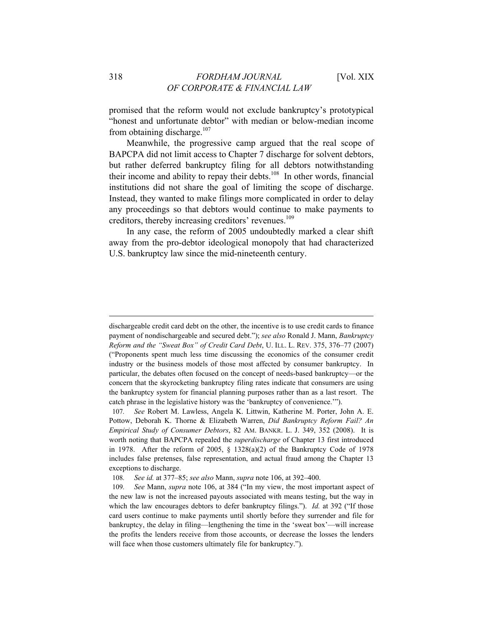promised that the reform would not exclude bankruptcy's prototypical "honest and unfortunate debtor" with median or below-median income from obtaining discharge.<sup>107</sup>

Meanwhile, the progressive camp argued that the real scope of BAPCPA did not limit access to Chapter 7 discharge for solvent debtors, but rather deferred bankruptcy filing for all debtors notwithstanding their income and ability to repay their debts.<sup>108</sup> In other words, financial institutions did not share the goal of limiting the scope of discharge. Instead, they wanted to make filings more complicated in order to delay any proceedings so that debtors would continue to make payments to creditors, thereby increasing creditors' revenues.<sup>109</sup>

In any case, the reform of 2005 undoubtedly marked a clear shift away from the pro-debtor ideological monopoly that had characterized U.S. bankruptcy law since the mid-nineteenth century.

dischargeable credit card debt on the other, the incentive is to use credit cards to finance payment of nondischargeable and secured debt."); *see also* Ronald J. Mann, *Bankruptcy Reform and the "Sweat Box" of Credit Card Debt*, U. ILL. L. REV. 375, 376–77 (2007) ("Proponents spent much less time discussing the economics of the consumer credit industry or the business models of those most affected by consumer bankruptcy. In particular, the debates often focused on the concept of needs-based bankruptcy—or the concern that the skyrocketing bankruptcy filing rates indicate that consumers are using the bankruptcy system for financial planning purposes rather than as a last resort. The catch phrase in the legislative history was the 'bankruptcy of convenience.'").

<sup>107</sup>*. See* Robert M. Lawless, Angela K. Littwin, Katherine M. Porter, John A. E. Pottow, Deborah K. Thorne & Elizabeth Warren, *Did Bankruptcy Reform Fail? An Empirical Study of Consumer Debtors*, 82 AM. BANKR. L. J. 349, 352 (2008). It is worth noting that BAPCPA repealed the *superdischarge* of Chapter 13 first introduced in 1978. After the reform of 2005,  $\S$  1328(a)(2) of the Bankruptcy Code of 1978 includes false pretenses, false representation, and actual fraud among the Chapter 13 exceptions to discharge.

<sup>108</sup>*. See id.* at 377–85; *see also* Mann, *supra* note 106, at 392–400.

<sup>109</sup>*. See* Mann, *supra* note 106, at 384 ("In my view, the most important aspect of the new law is not the increased payouts associated with means testing, but the way in which the law encourages debtors to defer bankruptcy filings."). *Id.* at 392 ("If those card users continue to make payments until shortly before they surrender and file for bankruptcy, the delay in filing—lengthening the time in the 'sweat box'—will increase the profits the lenders receive from those accounts, or decrease the losses the lenders will face when those customers ultimately file for bankruptcy.").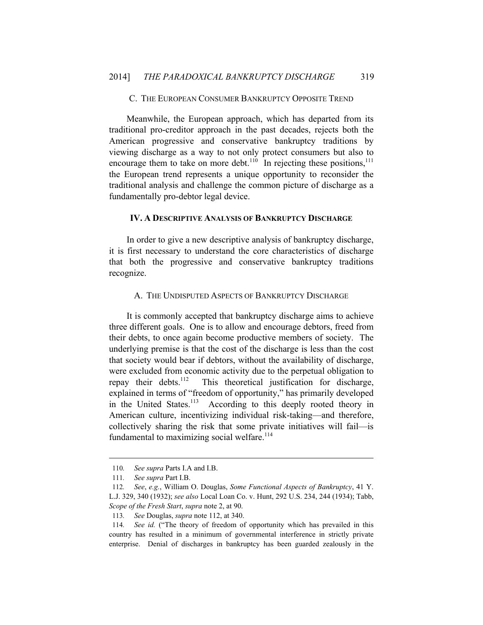#### C. THE EUROPEAN CONSUMER BANKRUPTCY OPPOSITE TREND

Meanwhile, the European approach, which has departed from its traditional pro-creditor approach in the past decades, rejects both the American progressive and conservative bankruptcy traditions by viewing discharge as a way to not only protect consumers but also to encourage them to take on more debt.<sup>110</sup> In rejecting these positions,<sup>111</sup> the European trend represents a unique opportunity to reconsider the traditional analysis and challenge the common picture of discharge as a fundamentally pro-debtor legal device.

## **IV. A DESCRIPTIVE ANALYSIS OF BANKRUPTCY DISCHARGE**

In order to give a new descriptive analysis of bankruptcy discharge, it is first necessary to understand the core characteristics of discharge that both the progressive and conservative bankruptcy traditions recognize.

## A. THE UNDISPUTED ASPECTS OF BANKRUPTCY DISCHARGE

It is commonly accepted that bankruptcy discharge aims to achieve three different goals. One is to allow and encourage debtors, freed from their debts, to once again become productive members of society. The underlying premise is that the cost of the discharge is less than the cost that society would bear if debtors, without the availability of discharge, were excluded from economic activity due to the perpetual obligation to repay their debts.<sup>112</sup> This theoretical justification for discharge, explained in terms of "freedom of opportunity," has primarily developed in the United States.<sup>113</sup> According to this deeply rooted theory in American culture, incentivizing individual risk-taking—and therefore, collectively sharing the risk that some private initiatives will fail—is fundamental to maximizing social welfare.<sup>114</sup>

<sup>110</sup>*. See supra* Parts I.A and I.B.

<sup>111</sup>*. See supra* Part I.B.

<sup>112</sup>*. See*, *e.g.*, William O. Douglas, *Some Functional Aspects of Bankruptcy*, 41 Y. L.J. 329, 340 (1932); *see also* Local Loan Co. v. Hunt, 292 U.S. 234, 244 (1934); Tabb, *Scope of the Fresh Start*, *supra* note 2, at 90.

<sup>113</sup>*. See* Douglas, *supra* note 112, at 340.

<sup>114</sup>*. See id.* ("The theory of freedom of opportunity which has prevailed in this country has resulted in a minimum of governmental interference in strictly private enterprise. Denial of discharges in bankruptcy has been guarded zealously in the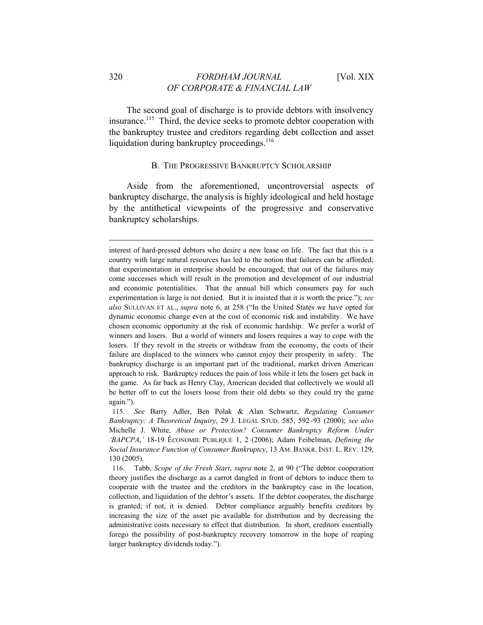The second goal of discharge is to provide debtors with insolvency insurance.<sup>115</sup> Third, the device seeks to promote debtor cooperation with the bankruptcy trustee and creditors regarding debt collection and asset liquidation during bankruptcy proceedings.<sup>116</sup>

## B. THE PROGRESSIVE BANKRUPTCY SCHOLARSHIP

Aside from the aforementioned, uncontroversial aspects of bankruptcy discharge, the analysis is highly ideological and held hostage by the antithetical viewpoints of the progressive and conservative bankruptcy scholarships.

interest of hard-pressed debtors who desire a new lease on life. The fact that this is a country with large natural resources has led to the notion that failures can be afforded; that experimentation in enterprise should be encouraged; that out of the failures may come successes which will result in the promotion and development of our industrial and economic potentialities. That the annual bill which consumers pay for such experimentation is large is not denied. But it is insisted that it is worth the price."); *see also* SULLIVAN ET AL., *supra* note 6, at 258 ("In the United States we have opted for dynamic economic change even at the cost of economic risk and instability. We have chosen economic opportunity at the risk of economic hardship. We prefer a world of winners and losers. But a world of winners and losers requires a way to cope with the losers. If they revolt in the streets or withdraw from the economy, the costs of their failure are displaced to the winners who cannot enjoy their prosperity in safety. The bankruptcy discharge is an important part of the traditional, market driven American approach to risk. Bankruptcy reduces the pain of loss while it lets the losers get back in the game. As far back as Henry Clay, American decided that collectively we would all be better off to cut the losers loose from their old debts so they could try the game again.").

<sup>115</sup>*. See* Barry Adler, Ben Polak & Alan Schwartz, *Regulating Consumer Bankruptcy: A Theoretical Inquiry*, 29 J. LEGAL STUD. 585, 592–93 (2000); *see also*  Michelle J. White, *Abuse or Protection? Consumer Bankruptcy Reform Under 'BAPCPA*,*'* 18-19 ÉCONOMIE PUBLIQUE 1, 2 (2006); Adam Feibelman, *Defining the Social Insurance Function of Consumer Bankruptcy*, 13 AM. BANKR. INST. L. REV. 129, 130 (2005).

<sup>116.</sup> Tabb, *Scope of the Fresh Start*, *supra* note 2, at 90 ("The debtor cooperation theory justifies the discharge as a carrot dangled in front of debtors to induce them to cooperate with the trustee and the creditors in the bankruptcy case in the location, collection, and liquidation of the debtor's assets. If the debtor cooperates, the discharge is granted; if not, it is denied. Debtor compliance arguably benefits creditors by increasing the size of the asset pie available for distribution and by decreasing the administrative costs necessary to effect that distribution. In short, creditors essentially forego the possibility of post-bankruptcy recovery tomorrow in the hope of reaping larger bankruptcy dividends today.").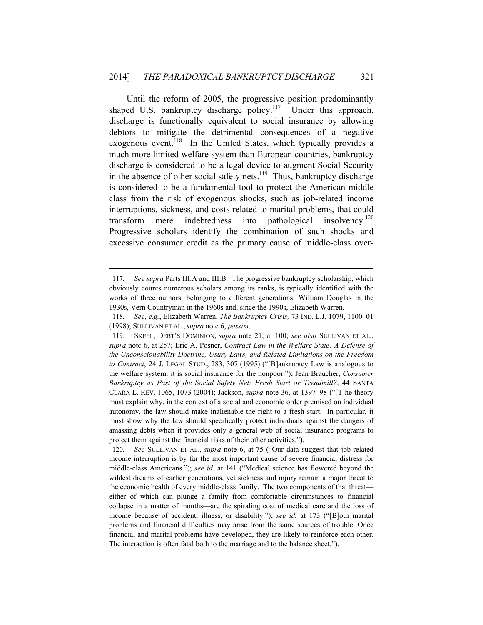Until the reform of 2005, the progressive position predominantly shaped U.S. bankruptcy discharge policy.<sup>117</sup> Under this approach, discharge is functionally equivalent to social insurance by allowing debtors to mitigate the detrimental consequences of a negative exogenous event.<sup>118</sup> In the United States, which typically provides a much more limited welfare system than European countries, bankruptcy discharge is considered to be a legal device to augment Social Security in the absence of other social safety nets. $119$  Thus, bankruptcy discharge is considered to be a fundamental tool to protect the American middle class from the risk of exogenous shocks, such as job-related income interruptions, sickness, and costs related to marital problems, that could transform mere indebtedness into pathological insolvency.<sup>120</sup> Progressive scholars identify the combination of such shocks and excessive consumer credit as the primary cause of middle-class over-

<u> 1989 - Johann Barn, mars ar breithinn ar chuid ann an t-Alban ann an t-Alban ann an t-Alban ann an t-Alban a</u>

120*. See* SULLIVAN ET AL., *supra* note 6, at 75 ("Our data suggest that job-related income interruption is by far the most important cause of severe financial distress for middle-class Americans."); *see id.* at 141 ("Medical science has flowered beyond the wildest dreams of earlier generations, yet sickness and injury remain a major threat to the economic health of every middle-class family. The two components of that threat either of which can plunge a family from comfortable circumstances to financial collapse in a matter of months—are the spiraling cost of medical care and the loss of income because of accident, illness, or disability."); *see id.* at 173 ("[B]oth marital problems and financial difficulties may arise from the same sources of trouble. Once financial and marital problems have developed, they are likely to reinforce each other. The interaction is often fatal both to the marriage and to the balance sheet.").

<sup>117</sup>*. See supra* Parts III.A and III.B. The progressive bankruptcy scholarship, which obviously counts numerous scholars among its ranks, is typically identified with the works of three authors, belonging to different generations: William Douglas in the 1930s, Vern Countryman in the 1960s and, since the 1990s, Elizabeth Warren.

<sup>118</sup>*. See*, *e.g.*, Elizabeth Warren, *The Bankruptcy Crisis,* 73 IND. L.J. 1079, 1100–01 (1998); SULLIVAN ET AL., *supra* note 6, *passim*.

<sup>119.</sup> SKEEL, DEBT'S DOMINION, *supra* note 21, at 100; *see also* SULLIVAN ET AL., *supra* note 6, at 257; Eric A. Posner, *Contract Law in the Welfare State: A Defense of the Unconscionability Doctrine, Usury Laws, and Related Limitations on the Freedom to Contract*, 24 J. LEGAL STUD., 283, 307 (1995) ("[B]ankruptcy Law is analogous to the welfare system: it is social insurance for the nonpoor."); Jean Braucher, *Consumer Bankruptcy as Part of the Social Safety Net: Fresh Start or Treadmill?*, 44 SANTA CLARA L. REV. 1065, 1073 (2004); Jackson, *supra* note 36, at 1397–98 ("[T]he theory must explain why, in the context of a social and economic order premised on individual autonomy, the law should make inalienable the right to a fresh start. In particular, it must show why the law should specifically protect individuals against the dangers of amassing debts when it provides only a general web of social insurance programs to protect them against the financial risks of their other activities.").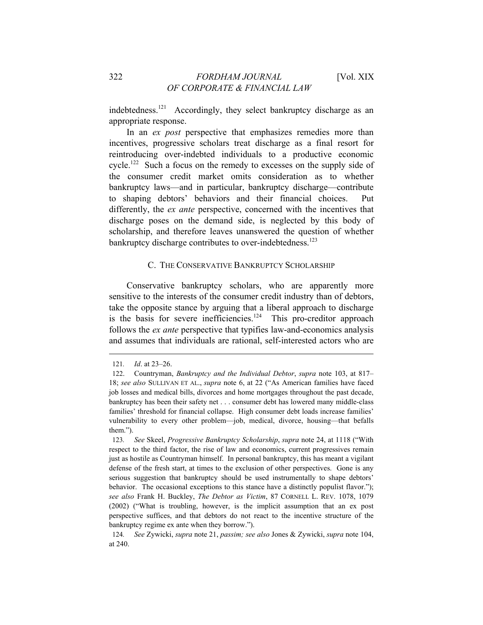indebtedness.<sup>121</sup> Accordingly, they select bankruptcy discharge as an appropriate response.

In an *ex post* perspective that emphasizes remedies more than incentives, progressive scholars treat discharge as a final resort for reintroducing over-indebted individuals to a productive economic cycle.<sup>122</sup> Such a focus on the remedy to excesses on the supply side of the consumer credit market omits consideration as to whether bankruptcy laws—and in particular, bankruptcy discharge—contribute to shaping debtors' behaviors and their financial choices. Put differently, the *ex ante* perspective, concerned with the incentives that discharge poses on the demand side, is neglected by this body of scholarship, and therefore leaves unanswered the question of whether bankruptcy discharge contributes to over-indebtedness.<sup>123</sup>

## C. THE CONSERVATIVE BANKRUPTCY SCHOLARSHIP

Conservative bankruptcy scholars, who are apparently more sensitive to the interests of the consumer credit industry than of debtors, take the opposite stance by arguing that a liberal approach to discharge is the basis for severe inefficiencies.<sup>124</sup> This pro-creditor approach follows the *ex ante* perspective that typifies law-and-economics analysis and assumes that individuals are rational, self-interested actors who are

<sup>121</sup>*. Id*. at 23–26.

<sup>122.</sup> Countryman, *Bankruptcy and the Individual Debtor*, *supra* note 103, at 817– 18; *see also* SULLIVAN ET AL., *supra* note 6, at 22 ("As American families have faced job losses and medical bills, divorces and home mortgages throughout the past decade, bankruptcy has been their safety net . . . consumer debt has lowered many middle-class families' threshold for financial collapse. High consumer debt loads increase families' vulnerability to every other problem—job, medical, divorce, housing—that befalls them.").

<sup>123</sup>*. See* Skeel, *Progressive Bankruptcy Scholarship*, *supra* note 24, at 1118 ("With respect to the third factor, the rise of law and economics, current progressives remain just as hostile as Countryman himself. In personal bankruptcy, this has meant a vigilant defense of the fresh start, at times to the exclusion of other perspectives. Gone is any serious suggestion that bankruptcy should be used instrumentally to shape debtors' behavior. The occasional exceptions to this stance have a distinctly populist flavor."); *see also* Frank H. Buckley, *The Debtor as Victim*, 87 CORNELL L. REV. 1078, 1079 (2002) ("What is troubling, however, is the implicit assumption that an ex post perspective suffices, and that debtors do not react to the incentive structure of the bankruptcy regime ex ante when they borrow.").

<sup>124</sup>*. See* Zywicki, *supra* note 21, *passim; see also* Jones & Zywicki, *supra* note 104, at 240.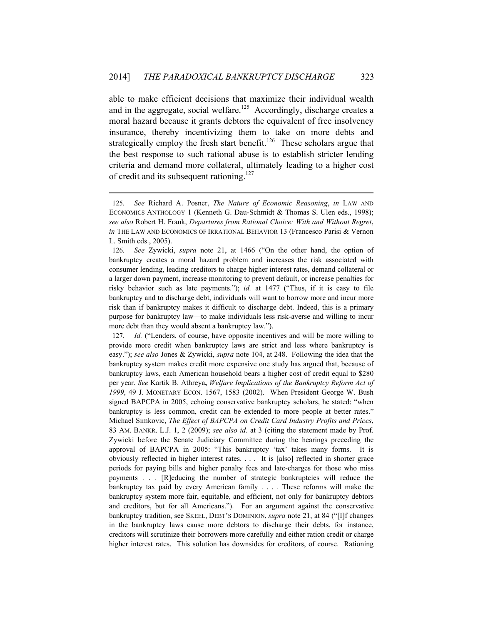able to make efficient decisions that maximize their individual wealth and in the aggregate, social welfare.<sup>125</sup> Accordingly, discharge creates a moral hazard because it grants debtors the equivalent of free insolvency insurance, thereby incentivizing them to take on more debts and strategically employ the fresh start benefit.<sup>126</sup> These scholars argue that the best response to such rational abuse is to establish stricter lending criteria and demand more collateral, ultimately leading to a higher cost of credit and its subsequent rationing.<sup>127</sup>

<u> 1989 - Johann Barn, mars ar breithinn ar chuid ann an t-Alban ann an t-Alban ann an t-Alban ann an t-Alban a</u>

127*. Id.* ("Lenders, of course, have opposite incentives and will be more willing to provide more credit when bankruptcy laws are strict and less where bankruptcy is easy."); *see also* Jones & Zywicki, *supra* note 104, at 248. Following the idea that the bankruptcy system makes credit more expensive one study has argued that, because of bankruptcy laws, each American household bears a higher cost of credit equal to \$280 per year. *See* Kartik B. Athreya**,** *Welfare Implications of the Bankruptcy Reform Act of 1999*, 49 J. MONETARY ECON. 1567, 1583 (2002). When President George W. Bush signed BAPCPA in 2005, echoing conservative bankruptcy scholars, he stated: "when bankruptcy is less common, credit can be extended to more people at better rates." Michael Simkovic, *The Effect of BAPCPA on Credit Card Industry Profits and Prices*, 83 AM. BANKR. L.J. 1, 2 (2009); *see also id*. at 3 (citing the statement made by Prof. Zywicki before the Senate Judiciary Committee during the hearings preceding the approval of BAPCPA in 2005: "This bankruptcy 'tax' takes many forms. It is obviously reflected in higher interest rates. . . . It is [also] reflected in shorter grace periods for paying bills and higher penalty fees and late-charges for those who miss payments . . . [R]educing the number of strategic bankruptcies will reduce the bankruptcy tax paid by every American family . . . . These reforms will make the bankruptcy system more fair, equitable, and efficient, not only for bankruptcy debtors and creditors, but for all Americans."). For an argument against the conservative bankruptcy tradition, see SKEEL, DEBT'S DOMINION, *supra* note 21, at 84 ("[I]f changes in the bankruptcy laws cause more debtors to discharge their debts, for instance, creditors will scrutinize their borrowers more carefully and either ration credit or charge higher interest rates. This solution has downsides for creditors, of course. Rationing

<sup>125</sup>*. See* Richard A. Posner, *The Nature of Economic Reasoning*, *in* LAW AND ECONOMICS ANTHOLOGY 1 (Kenneth G. Dau-Schmidt & Thomas S. Ulen eds., 1998); *see also* Robert H. Frank, *Departures from Rational Choice: With and Without Regret*, *in* THE LAW AND ECONOMICS OF IRRATIONAL BEHAVIOR 13 (Francesco Parisi & Vernon L. Smith eds., 2005).

<sup>126</sup>*. See* Zywicki, *supra* note 21, at 1466 ("On the other hand, the option of bankruptcy creates a moral hazard problem and increases the risk associated with consumer lending, leading creditors to charge higher interest rates, demand collateral or a larger down payment, increase monitoring to prevent default, or increase penalties for risky behavior such as late payments."); *id.* at 1477 ("Thus, if it is easy to file bankruptcy and to discharge debt, individuals will want to borrow more and incur more risk than if bankruptcy makes it difficult to discharge debt. Indeed, this is a primary purpose for bankruptcy law—to make individuals less risk-averse and willing to incur more debt than they would absent a bankruptcy law.").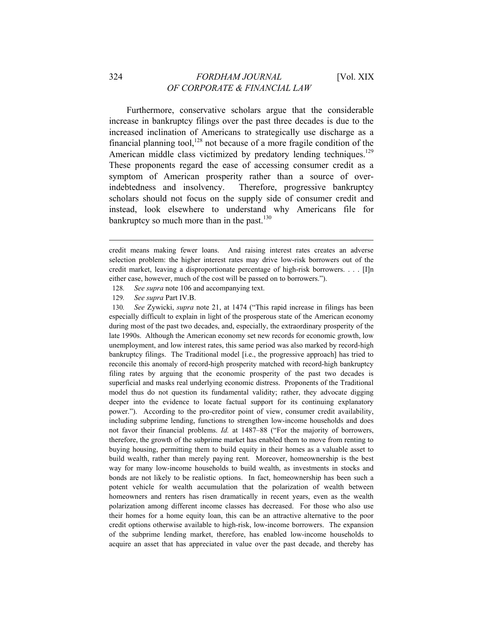Furthermore, conservative scholars argue that the considerable increase in bankruptcy filings over the past three decades is due to the increased inclination of Americans to strategically use discharge as a financial planning tool, $128$  not because of a more fragile condition of the American middle class victimized by predatory lending techniques.<sup>129</sup> These proponents regard the ease of accessing consumer credit as a symptom of American prosperity rather than a source of overindebtedness and insolvency. Therefore, progressive bankruptcy scholars should not focus on the supply side of consumer credit and instead, look elsewhere to understand why Americans file for bankruptcy so much more than in the past. $130$ 

<u> 1989 - Johann Barn, mars ar breithinn ar chuid ann an t-Alban ann an t-Alban ann an t-Alban ann an t-Alban a</u>

129*. See supra* Part IV.B.

130*. See* Zywicki, *supra* note 21, at 1474 ("This rapid increase in filings has been especially difficult to explain in light of the prosperous state of the American economy during most of the past two decades, and, especially, the extraordinary prosperity of the late 1990s. Although the American economy set new records for economic growth, low unemployment, and low interest rates, this same period was also marked by record-high bankruptcy filings. The Traditional model [i.e., the progressive approach] has tried to reconcile this anomaly of record-high prosperity matched with record-high bankruptcy filing rates by arguing that the economic prosperity of the past two decades is superficial and masks real underlying economic distress. Proponents of the Traditional model thus do not question its fundamental validity; rather, they advocate digging deeper into the evidence to locate factual support for its continuing explanatory power."). According to the pro-creditor point of view, consumer credit availability, including subprime lending, functions to strengthen low-income households and does not favor their financial problems. *Id.* at 1487–88 ("For the majority of borrowers, therefore, the growth of the subprime market has enabled them to move from renting to buying housing, permitting them to build equity in their homes as a valuable asset to build wealth, rather than merely paying rent. Moreover, homeownership is the best way for many low-income households to build wealth, as investments in stocks and bonds are not likely to be realistic options. In fact, homeownership has been such a potent vehicle for wealth accumulation that the polarization of wealth between homeowners and renters has risen dramatically in recent years, even as the wealth polarization among different income classes has decreased. For those who also use their homes for a home equity loan, this can be an attractive alternative to the poor credit options otherwise available to high-risk, low-income borrowers. The expansion of the subprime lending market, therefore, has enabled low-income households to acquire an asset that has appreciated in value over the past decade, and thereby has

credit means making fewer loans. And raising interest rates creates an adverse selection problem: the higher interest rates may drive low-risk borrowers out of the credit market, leaving a disproportionate percentage of high-risk borrowers. . . . [I]n either case, however, much of the cost will be passed on to borrowers.").

<sup>128</sup>*. See supra* note 106 and accompanying text.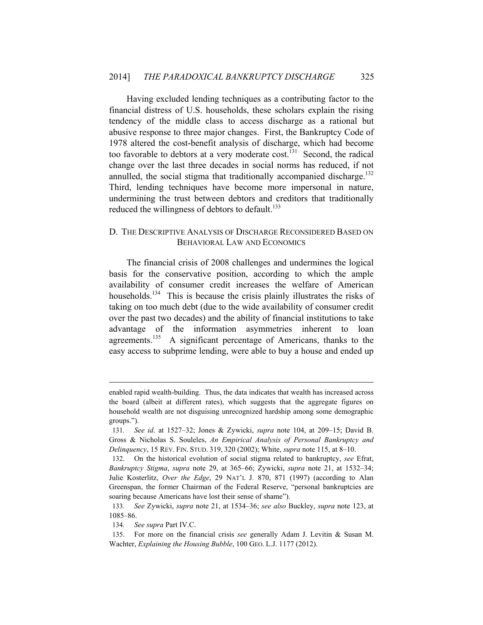Having excluded lending techniques as a contributing factor to the financial distress of U.S. households, these scholars explain the rising tendency of the middle class to access discharge as a rational but abusive response to three major changes. First, the Bankruptcy Code of 1978 altered the cost-benefit analysis of discharge, which had become too favorable to debtors at a very moderate cost.<sup>131</sup> Second, the radical change over the last three decades in social norms has reduced, if not annulled, the social stigma that traditionally accompanied discharge.<sup>132</sup> Third, lending techniques have become more impersonal in nature, undermining the trust between debtors and creditors that traditionally reduced the willingness of debtors to default.<sup>133</sup>

## D. THE DESCRIPTIVE ANALYSIS OF DISCHARGE RECONSIDERED BASED ON BEHAVIORAL LAW AND ECONOMICS

The financial crisis of 2008 challenges and undermines the logical basis for the conservative position, according to which the ample availability of consumer credit increases the welfare of American households.<sup>134</sup> This is because the crisis plainly illustrates the risks of taking on too much debt (due to the wide availability of consumer credit over the past two decades) and the ability of financial institutions to take advantage of the information asymmetries inherent to loan agreements.135 A significant percentage of Americans, thanks to the easy access to subprime lending, were able to buy a house and ended up

enabled rapid wealth-building. Thus, the data indicates that wealth has increased across the board (albeit at different rates), which suggests that the aggregate figures on household wealth are not disguising unrecognized hardship among some demographic groups.").

<sup>131</sup>*. See id*. at 1527–32; Jones & Zywicki, *supra* note 104, at 209–15; David B. Gross & Nicholas S. Souleles, *An Empirical Analysis of Personal Bankruptcy and Delinquency*, 15 REV. FIN. STUD. 319, 320 (2002); White, *supra* note 115, at 8–10.

<sup>132.</sup> On the historical evolution of social stigma related to bankruptcy, *see* Efrat, *Bankruptcy Stigma*, *supra* note 29, at 365–66; Zywicki, *supra* note 21, at 1532–34; Julie Kosterlitz, *Over the Edge*, 29 NAT'L J. 870, 871 (1997) (according to Alan Greenspan, the former Chairman of the Federal Reserve, "personal bankruptcies are soaring because Americans have lost their sense of shame").

<sup>133</sup>*. See* Zywicki, *supra* note 21, at 1534–36; *see also* Buckley, *supra* note 123, at 1085–86.

<sup>134</sup>*. See supra* Part IV.C.

<sup>135.</sup> For more on the financial crisis *see* generally Adam J. Levitin & Susan M. Wachter, *Explaining the Housing Bubble*, 100 GEO. L.J. 1177 (2012).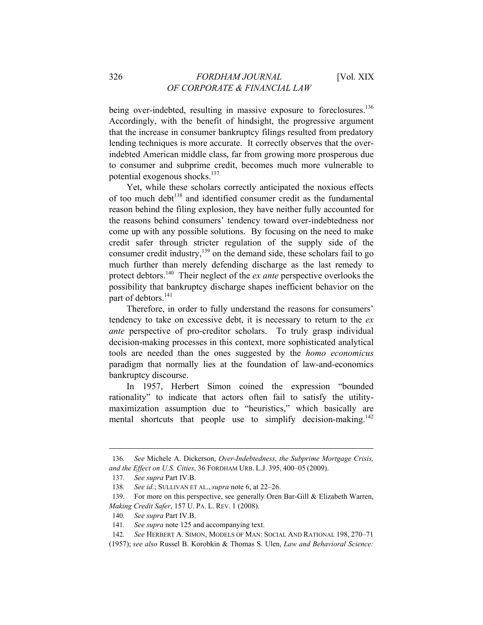being over-indebted, resulting in massive exposure to foreclosures.<sup>136</sup> Accordingly, with the benefit of hindsight, the progressive argument that the increase in consumer bankruptcy filings resulted from predatory lending techniques is more accurate. It correctly observes that the overindebted American middle class, far from growing more prosperous due to consumer and subprime credit, becomes much more vulnerable to potential exogenous shocks.137

Yet, while these scholars correctly anticipated the noxious effects of too much debt<sup>138</sup> and identified consumer credit as the fundamental reason behind the filing explosion, they have neither fully accounted for the reasons behind consumers' tendency toward over-indebtedness nor come up with any possible solutions. By focusing on the need to make credit safer through stricter regulation of the supply side of the consumer credit industry, $139$  on the demand side, these scholars fail to go much further than merely defending discharge as the last remedy to protect debtors.140 Their neglect of the *ex ante* perspective overlooks the possibility that bankruptcy discharge shapes inefficient behavior on the part of debtors.<sup>141</sup>

Therefore, in order to fully understand the reasons for consumers' tendency to take on excessive debt, it is necessary to return to the *ex ante* perspective of pro-creditor scholars. To truly grasp individual decision-making processes in this context, more sophisticated analytical tools are needed than the ones suggested by the *homo economicus* paradigm that normally lies at the foundation of law-and-economics bankruptcy discourse.

In 1957, Herbert Simon coined the expression "bounded rationality" to indicate that actors often fail to satisfy the utilitymaximization assumption due to "heuristics," which basically are mental shortcuts that people use to simplify decision-making. $142$ 

<sup>136</sup>*. See* Michele A. Dickerson, *Over-Indebtedness, the Subprime Mortgage Crisis, and the Effect on U.S. Cities*, 36 FORDHAM URB. L.J. 395, 400–05 (2009).

<sup>137</sup>*. See supra* Part IV.B.

<sup>138</sup>*. See id.*; SULLIVAN ET AL., *supra* note 6, at 22–26.

<sup>139.</sup> For more on this perspective, see generally Oren Bar-Gill & Elizabeth Warren, *Making Credit Safer*, 157 U. PA. L. REV. 1 (2008).

<sup>140</sup>*. See supra* Part IV.B.

<sup>141</sup>*. See supra* note 125 and accompanying text.

<sup>142</sup>*. See* HERBERT A. SIMON, MODELS OF MAN: SOCIAL AND RATIONAL 198, 270–71

<sup>(1957);</sup> *see also* Russel B. Korobkin & Thomas S. Ulen, *Law and Behavioral Science:*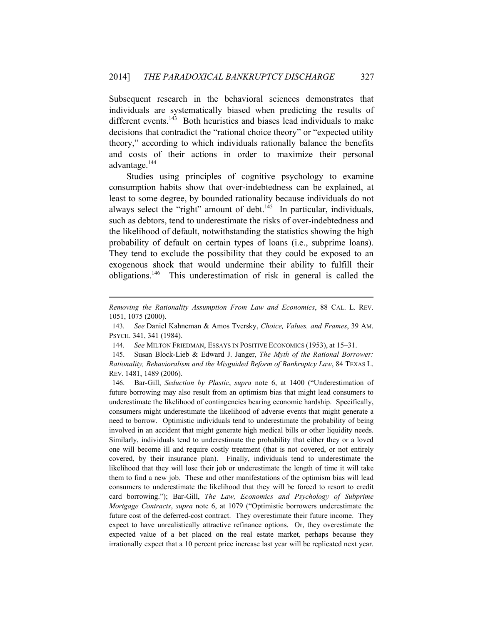Subsequent research in the behavioral sciences demonstrates that individuals are systematically biased when predicting the results of different events.<sup>143</sup> Both heuristics and biases lead individuals to make decisions that contradict the "rational choice theory" or "expected utility theory," according to which individuals rationally balance the benefits and costs of their actions in order to maximize their personal advantage.<sup>144</sup>

Studies using principles of cognitive psychology to examine consumption habits show that over-indebtedness can be explained, at least to some degree, by bounded rationality because individuals do not always select the "right" amount of debt. $145$  In particular, individuals, such as debtors, tend to underestimate the risks of over-indebtedness and the likelihood of default, notwithstanding the statistics showing the high probability of default on certain types of loans (i.e., subprime loans). They tend to exclude the possibility that they could be exposed to an exogenous shock that would undermine their ability to fulfill their obligations.146 This underestimation of risk in general is called the

<sup>&</sup>lt;u> 1989 - Johann Barn, mars ann an t-Amhain ann an t-Amhain an t-Amhain an t-Amhain an t-Amhain an t-Amhain an t-</u> *Removing the Rationality Assumption From Law and Economics*, 88 CAL. L. REV. 1051, 1075 (2000).

<sup>143</sup>*. See* Daniel Kahneman & Amos Tversky, *Choice, Values, and Frames*, 39 AM. PSYCH. 341, 341 (1984).

<sup>144</sup>*. See* MILTON FRIEDMAN, ESSAYS IN POSITIVE ECONOMICS (1953), at 15–31.

<sup>145.</sup> Susan Block-Lieb & Edward J. Janger, *The Myth of the Rational Borrower: Rationality, Behavioralism and the Misguided Reform of Bankruptcy Law*, 84 TEXAS L. REV. 1481, 1489 (2006).

<sup>146.</sup> Bar-Gill, *Seduction by Plastic*, *supra* note 6, at 1400 ("Underestimation of future borrowing may also result from an optimism bias that might lead consumers to underestimate the likelihood of contingencies bearing economic hardship. Specifically, consumers might underestimate the likelihood of adverse events that might generate a need to borrow. Optimistic individuals tend to underestimate the probability of being involved in an accident that might generate high medical bills or other liquidity needs. Similarly, individuals tend to underestimate the probability that either they or a loved one will become ill and require costly treatment (that is not covered, or not entirely covered, by their insurance plan). Finally, individuals tend to underestimate the likelihood that they will lose their job or underestimate the length of time it will take them to find a new job. These and other manifestations of the optimism bias will lead consumers to underestimate the likelihood that they will be forced to resort to credit card borrowing."); Bar-Gill, *The Law, Economics and Psychology of Subprime Mortgage Contracts*, *supra* note 6, at 1079 ("Optimistic borrowers underestimate the future cost of the deferred-cost contract. They overestimate their future income. They expect to have unrealistically attractive refinance options. Or, they overestimate the expected value of a bet placed on the real estate market, perhaps because they irrationally expect that a 10 percent price increase last year will be replicated next year.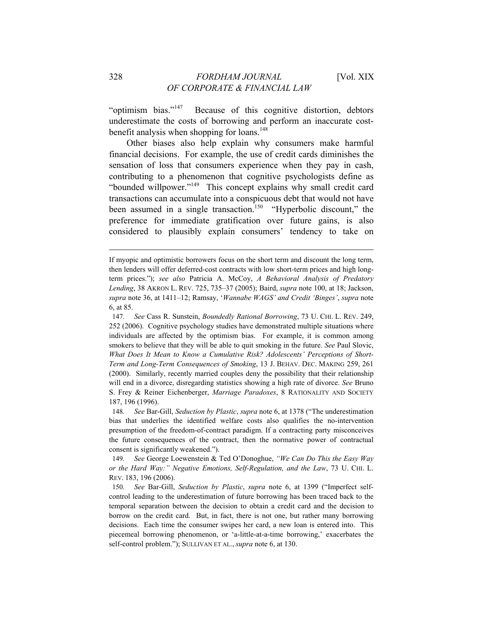"optimism bias."147 Because of this cognitive distortion, debtors underestimate the costs of borrowing and perform an inaccurate costbenefit analysis when shopping for loans.<sup>148</sup>

Other biases also help explain why consumers make harmful financial decisions. For example, the use of credit cards diminishes the sensation of loss that consumers experience when they pay in cash, contributing to a phenomenon that cognitive psychologists define as "bounded willpower."149 This concept explains why small credit card transactions can accumulate into a conspicuous debt that would not have been assumed in a single transaction.<sup>150</sup> "Hyperbolic discount," the preference for immediate gratification over future gains, is also considered to plausibly explain consumers' tendency to take on

If myopic and optimistic borrowers focus on the short term and discount the long term, then lenders will offer deferred-cost contracts with low short-term prices and high longterm prices."); *see also* Patricia A. McCoy, *A Behavioral Analysis of Predatory Lending*, 38 AKRON L. REV. 725, 735–37 (2005); Baird, *supra* note 100, at 18; Jackson, *supra* note 36, at 1411–12; Ramsay, '*Wannabe WAGS' and Credit 'Binges'*, *supra* note 6, at 85.

<sup>147</sup>*. See* Cass R. Sunstein, *Boundedly Rational Borrowing*, 73 U. CHI. L. REV. 249, 252 (2006). Cognitive psychology studies have demonstrated multiple situations where individuals are affected by the optimism bias. For example, it is common among smokers to believe that they will be able to quit smoking in the future. *See* Paul Slovic, *What Does It Mean to Know a Cumulative Risk? Adolescents' Perceptions of Short-Term and Long-Term Consequences of Smoking*, 13 J. BEHAV. DEC. MAKING 259, 261 (2000). Similarly, recently married couples deny the possibility that their relationship will end in a divorce, disregarding statistics showing a high rate of divorce. *See* Bruno S. Frey & Reiner Eichenberger, *Marriage Paradoxes*, 8 RATIONALITY AND SOCIETY 187, 196 (1996).

<sup>148</sup>*. See* Bar-Gill, *Seduction by Plastic*, *supra* note 6, at 1378 ("The underestimation bias that underlies the identified welfare costs also qualifies the no-intervention presumption of the freedom-of-contract paradigm. If a contracting party misconceives the future consequences of the contract, then the normative power of contractual consent is significantly weakened.").

<sup>149</sup>*. See* George Loewenstein & Ted O'Donoghue, *"We Can Do This the Easy Way or the Hard Way:" Negative Emotions, Self-Regulation, and the Law*, 73 U. CHI. L. REV. 183, 196 (2006).

<sup>150</sup>*. See* Bar-Gill, *Seduction by Plastic*, *supra* note 6, at 1399 ("Imperfect selfcontrol leading to the underestimation of future borrowing has been traced back to the temporal separation between the decision to obtain a credit card and the decision to borrow on the credit card. But, in fact, there is not one, but rather many borrowing decisions. Each time the consumer swipes her card, a new loan is entered into. This piecemeal borrowing phenomenon, or 'a-little-at-a-time borrowing,' exacerbates the self-control problem."); SULLIVAN ET AL., *supra* note 6, at 130.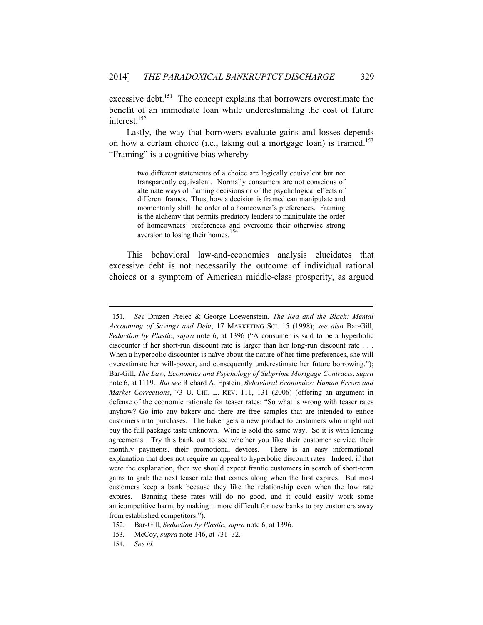excessive debt.<sup>151</sup> The concept explains that borrowers overestimate the benefit of an immediate loan while underestimating the cost of future interest.<sup>152</sup>

Lastly, the way that borrowers evaluate gains and losses depends on how a certain choice (i.e., taking out a mortgage loan) is framed.<sup>153</sup> "Framing" is a cognitive bias whereby

> two different statements of a choice are logically equivalent but not transparently equivalent. Normally consumers are not conscious of alternate ways of framing decisions or of the psychological effects of different frames. Thus, how a decision is framed can manipulate and momentarily shift the order of a homeowner's preferences. Framing is the alchemy that permits predatory lenders to manipulate the order of homeowners' preferences and overcome their otherwise strong aversion to losing their homes.<sup>154</sup>

This behavioral law-and-economics analysis elucidates that excessive debt is not necessarily the outcome of individual rational choices or a symptom of American middle-class prosperity, as argued

<sup>151</sup>*. See* Drazen Prelec & George Loewenstein, *The Red and the Black: Mental Accounting of Savings and Debt*, 17 MARKETING SCI. 15 (1998); *see also* Bar-Gill, *Seduction by Plastic*, *supra* note 6, at 1396 ("A consumer is said to be a hyperbolic discounter if her short-run discount rate is larger than her long-run discount rate . . . When a hyperbolic discounter is naïve about the nature of her time preferences, she will overestimate her will-power, and consequently underestimate her future borrowing."); Bar-Gill, *The Law, Economics and Psychology of Subprime Mortgage Contracts*, *supra*  note 6, at 1119. *But see* Richard A. Epstein, *Behavioral Economics: Human Errors and Market Corrections*, 73 U. CHI. L. REV. 111, 131 (2006) (offering an argument in defense of the economic rationale for teaser rates: "So what is wrong with teaser rates anyhow? Go into any bakery and there are free samples that are intended to entice customers into purchases. The baker gets a new product to customers who might not buy the full package taste unknown. Wine is sold the same way. So it is with lending agreements. Try this bank out to see whether you like their customer service, their monthly payments, their promotional devices. There is an easy informational explanation that does not require an appeal to hyperbolic discount rates. Indeed, if that were the explanation, then we should expect frantic customers in search of short-term gains to grab the next teaser rate that comes along when the first expires. But most customers keep a bank because they like the relationship even when the low rate expires. Banning these rates will do no good, and it could easily work some anticompetitive harm, by making it more difficult for new banks to pry customers away from established competitors.").

<sup>152.</sup> Bar-Gill, *Seduction by Plastic*, *supra* note 6, at 1396.

<sup>153</sup>*.* McCoy, *supra* note 146, at 731–32.

<sup>154</sup>*. See id.*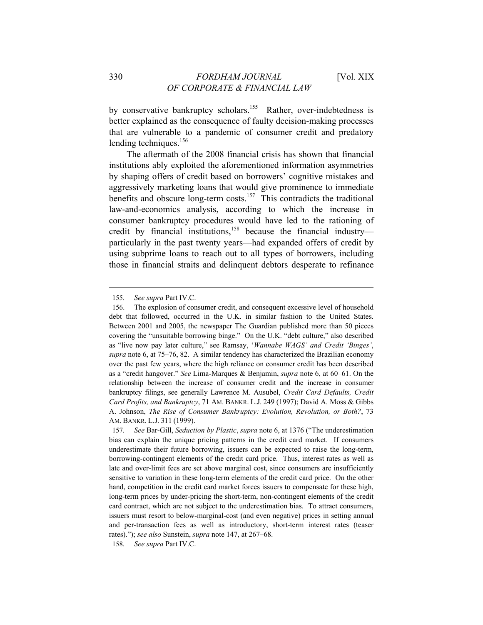by conservative bankruptcy scholars.<sup>155</sup> Rather, over-indebtedness is better explained as the consequence of faulty decision-making processes that are vulnerable to a pandemic of consumer credit and predatory lending techniques.<sup>156</sup>

The aftermath of the 2008 financial crisis has shown that financial institutions ably exploited the aforementioned information asymmetries by shaping offers of credit based on borrowers' cognitive mistakes and aggressively marketing loans that would give prominence to immediate benefits and obscure long-term costs.<sup>157</sup> This contradicts the traditional law-and-economics analysis, according to which the increase in consumer bankruptcy procedures would have led to the rationing of credit by financial institutions,<sup>158</sup> because the financial industryparticularly in the past twenty years—had expanded offers of credit by using subprime loans to reach out to all types of borrowers, including those in financial straits and delinquent debtors desperate to refinance

<sup>155</sup>*. See supra* Part IV.C.

<sup>156.</sup> The explosion of consumer credit, and consequent excessive level of household debt that followed, occurred in the U.K. in similar fashion to the United States. Between 2001 and 2005, the newspaper The Guardian published more than 50 pieces covering the "unsuitable borrowing binge." On the U.K. "debt culture," also described as "live now pay later culture," see Ramsay, '*Wannabe WAGS' and Credit 'Binges'*, *supra* note 6, at 75–76, 82. A similar tendency has characterized the Brazilian economy over the past few years, where the high reliance on consumer credit has been described as a "credit hangover." *See* Lima-Marques & Benjamin, *supra* note 6, at 60–61. On the relationship between the increase of consumer credit and the increase in consumer bankruptcy filings, see generally Lawrence M. Ausubel, *Credit Card Defaults, Credit Card Profits, and Bankruptcy*, 71 AM. BANKR. L.J. 249 (1997); David A. Moss & Gibbs A. Johnson, *The Rise of Consumer Bankruptcy: Evolution, Revolution, or Both?*, 73 AM. BANKR. L.J. 311 (1999).

<sup>157</sup>*. See* Bar-Gill, *Seduction by Plastic*, *supra* note 6, at 1376 ("The underestimation bias can explain the unique pricing patterns in the credit card market. If consumers underestimate their future borrowing, issuers can be expected to raise the long-term, borrowing-contingent elements of the credit card price. Thus, interest rates as well as late and over-limit fees are set above marginal cost, since consumers are insufficiently sensitive to variation in these long-term elements of the credit card price. On the other hand, competition in the credit card market forces issuers to compensate for these high, long-term prices by under-pricing the short-term, non-contingent elements of the credit card contract, which are not subject to the underestimation bias. To attract consumers, issuers must resort to below-marginal-cost (and even negative) prices in setting annual and per-transaction fees as well as introductory, short-term interest rates (teaser rates)."); *see also* Sunstein, *supra* note 147, at 267–68.

<sup>158</sup>*. See supra* Part IV.C.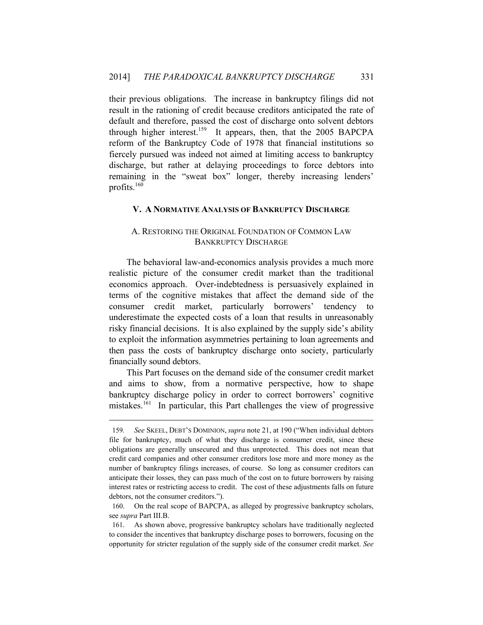their previous obligations. The increase in bankruptcy filings did not result in the rationing of credit because creditors anticipated the rate of default and therefore, passed the cost of discharge onto solvent debtors through higher interest.<sup>159</sup> It appears, then, that the 2005 BAPCPA reform of the Bankruptcy Code of 1978 that financial institutions so fiercely pursued was indeed not aimed at limiting access to bankruptcy discharge, but rather at delaying proceedings to force debtors into remaining in the "sweat box" longer, thereby increasing lenders' profits.160

## **V. A NORMATIVE ANALYSIS OF BANKRUPTCY DISCHARGE**

## A. RESTORING THE ORIGINAL FOUNDATION OF COMMON LAW BANKRUPTCY DISCHARGE

The behavioral law-and-economics analysis provides a much more realistic picture of the consumer credit market than the traditional economics approach. Over-indebtedness is persuasively explained in terms of the cognitive mistakes that affect the demand side of the consumer credit market, particularly borrowers' tendency to underestimate the expected costs of a loan that results in unreasonably risky financial decisions. It is also explained by the supply side's ability to exploit the information asymmetries pertaining to loan agreements and then pass the costs of bankruptcy discharge onto society, particularly financially sound debtors.

This Part focuses on the demand side of the consumer credit market and aims to show, from a normative perspective, how to shape bankruptcy discharge policy in order to correct borrowers' cognitive mistakes.<sup>161</sup> In particular, this Part challenges the view of progressive

<sup>159</sup>*. See* SKEEL, DEBT'S DOMINION, *supra* note 21, at 190 ("When individual debtors file for bankruptcy, much of what they discharge is consumer credit, since these obligations are generally unsecured and thus unprotected. This does not mean that credit card companies and other consumer creditors lose more and more money as the number of bankruptcy filings increases, of course. So long as consumer creditors can anticipate their losses, they can pass much of the cost on to future borrowers by raising interest rates or restricting access to credit. The cost of these adjustments falls on future debtors, not the consumer creditors.").

<sup>160.</sup> On the real scope of BAPCPA, as alleged by progressive bankruptcy scholars, see *supra* Part III.B.

<sup>161.</sup> As shown above, progressive bankruptcy scholars have traditionally neglected to consider the incentives that bankruptcy discharge poses to borrowers, focusing on the opportunity for stricter regulation of the supply side of the consumer credit market. *See*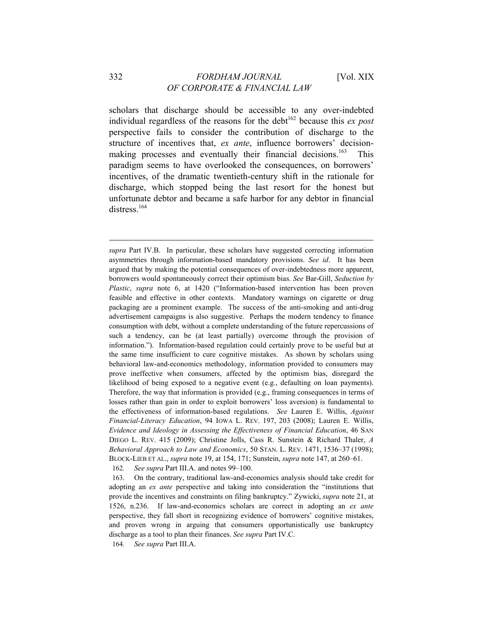## 332 *FORDHAM JOURNAL* [Vol. XIX *OF CORPORATE & FINANCIAL LAW*

scholars that discharge should be accessible to any over-indebted individual regardless of the reasons for the debt<sup>162</sup> because this  $ex$  *post* perspective fails to consider the contribution of discharge to the structure of incentives that, *ex ante*, influence borrowers' decisionmaking processes and eventually their financial decisions.<sup>163</sup> This paradigm seems to have overlooked the consequences, on borrowers' incentives, of the dramatic twentieth-century shift in the rationale for discharge, which stopped being the last resort for the honest but unfortunate debtor and became a safe harbor for any debtor in financial distress.<sup>164</sup>

<u> 1989 - Johann Barn, mars ar breithinn ar chuid ann an t-Alban ann an t-Alban ann an t-Alban ann an t-Alban a</u>

*supra* Part IV.B. In particular, these scholars have suggested correcting information asymmetries through information-based mandatory provisions. *See id*. It has been argued that by making the potential consequences of over-indebtedness more apparent, borrowers would spontaneously correct their optimism bias. *See* Bar-Gill, *Seduction by Plastic*, *supra* note 6, at 1420 ("Information-based intervention has been proven feasible and effective in other contexts. Mandatory warnings on cigarette or drug packaging are a prominent example. The success of the anti-smoking and anti-drug advertisement campaigns is also suggestive. Perhaps the modern tendency to finance consumption with debt, without a complete understanding of the future repercussions of such a tendency, can be (at least partially) overcome through the provision of information."). Information-based regulation could certainly prove to be useful but at the same time insufficient to cure cognitive mistakes. As shown by scholars using behavioral law-and-economics methodology, information provided to consumers may prove ineffective when consumers, affected by the optimism bias, disregard the likelihood of being exposed to a negative event (e.g., defaulting on loan payments). Therefore, the way that information is provided (e.g., framing consequences in terms of losses rather than gain in order to exploit borrowers' loss aversion) is fundamental to the effectiveness of information-based regulations. *See* Lauren E. Willis, *Against Financial-Literacy Education*, 94 IOWA L. REV. 197, 203 (2008); Lauren E. Willis, *Evidence and Ideology in Assessing the Effectiveness of Financial Education*, 46 SAN DIEGO L. REV. 415 (2009); Christine Jolls, Cass R. Sunstein & Richard Thaler, *A Behavioral Approach to Law and Economics*, 50 STAN. L. REV. 1471, 1536–37 (1998); BLOCK-LIEB ET AL., *supra* note 19, at 154, 171; Sunstein, *supra* note 147, at 260–61.

162*. See supra* Part III.A. and notes 99–100.

163. On the contrary, traditional law-and-economics analysis should take credit for adopting an *ex ante* perspective and taking into consideration the "institutions that provide the incentives and constraints on filing bankruptcy." Zywicki, *supra* note 21, at 1526, n.236. If law-and-economics scholars are correct in adopting an *ex ante*  perspective, they fall short in recognizing evidence of borrowers' cognitive mistakes, and proven wrong in arguing that consumers opportunistically use bankruptcy discharge as a tool to plan their finances. *See supra* Part IV.C.

164*. See supra* Part III.A.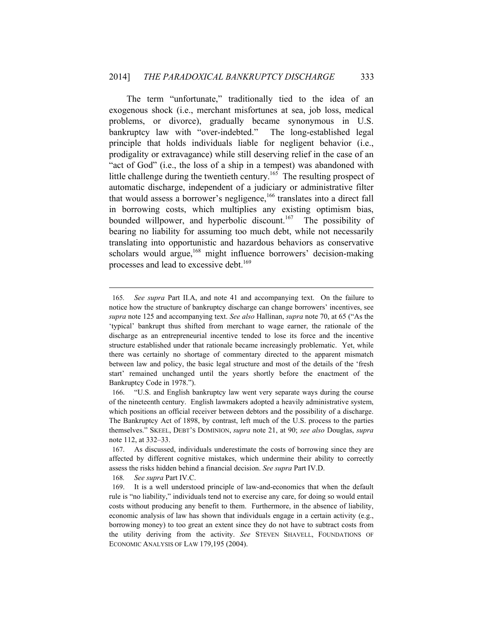The term "unfortunate," traditionally tied to the idea of an exogenous shock (i.e., merchant misfortunes at sea, job loss, medical problems, or divorce), gradually became synonymous in U.S. bankruptcy law with "over-indebted." The long-established legal principle that holds individuals liable for negligent behavior (i.e., prodigality or extravagance) while still deserving relief in the case of an "act of God" (i.e., the loss of a ship in a tempest) was abandoned with little challenge during the twentieth century.<sup>165</sup> The resulting prospect of automatic discharge, independent of a judiciary or administrative filter that would assess a borrower's negligence,<sup>166</sup> translates into a direct fall in borrowing costs, which multiplies any existing optimism bias, bounded willpower, and hyperbolic discount.<sup>167</sup> The possibility of bearing no liability for assuming too much debt, while not necessarily translating into opportunistic and hazardous behaviors as conservative scholars would argue,<sup>168</sup> might influence borrowers' decision-making processes and lead to excessive debt.<sup>169</sup>

<u> 1989 - Johann Barn, mars ann an t-Amhain ann an t-Amhain an t-Amhain an t-Amhain an t-Amhain an t-Amhain an t-</u>

168*. See supra* Part IV.C.

<sup>165</sup>*. See supra* Part II.A, and note 41 and accompanying text. On the failure to notice how the structure of bankruptcy discharge can change borrowers' incentives, see *supra* note 125 and accompanying text. *See also* Hallinan, *supra* note 70, at 65 ("As the 'typical' bankrupt thus shifted from merchant to wage earner, the rationale of the discharge as an entrepreneurial incentive tended to lose its force and the incentive structure established under that rationale became increasingly problematic. Yet, while there was certainly no shortage of commentary directed to the apparent mismatch between law and policy, the basic legal structure and most of the details of the 'fresh start' remained unchanged until the years shortly before the enactment of the Bankruptcy Code in 1978.").

<sup>166. &</sup>quot;U.S. and English bankruptcy law went very separate ways during the course of the nineteenth century. English lawmakers adopted a heavily administrative system, which positions an official receiver between debtors and the possibility of a discharge. The Bankruptcy Act of 1898, by contrast, left much of the U.S. process to the parties themselves." SKEEL, DEBT'S DOMINION, *supra* note 21, at 90; *see also* Douglas, *supra*  note 112, at 332–33.

<sup>167.</sup> As discussed, individuals underestimate the costs of borrowing since they are affected by different cognitive mistakes, which undermine their ability to correctly assess the risks hidden behind a financial decision. *See supra* Part IV.D.

<sup>169.</sup> It is a well understood principle of law-and-economics that when the default rule is "no liability," individuals tend not to exercise any care, for doing so would entail costs without producing any benefit to them. Furthermore, in the absence of liability, economic analysis of law has shown that individuals engage in a certain activity (e.g., borrowing money) to too great an extent since they do not have to subtract costs from the utility deriving from the activity. *See* STEVEN SHAVELL, FOUNDATIONS OF ECONOMIC ANALYSIS OF LAW 179,195 (2004).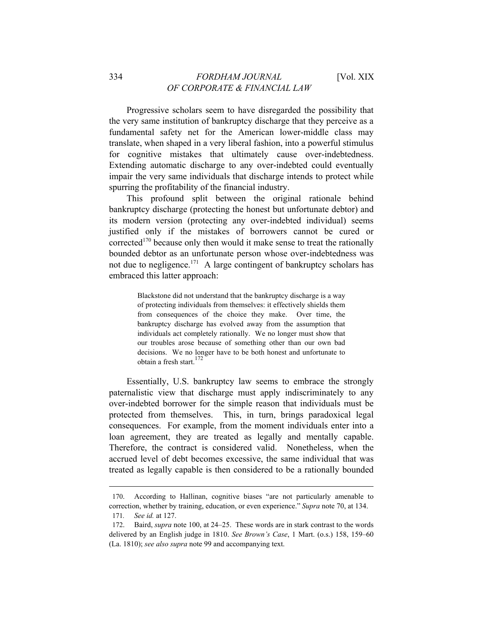Progressive scholars seem to have disregarded the possibility that the very same institution of bankruptcy discharge that they perceive as a fundamental safety net for the American lower-middle class may translate, when shaped in a very liberal fashion, into a powerful stimulus for cognitive mistakes that ultimately cause over-indebtedness. Extending automatic discharge to any over-indebted could eventually impair the very same individuals that discharge intends to protect while spurring the profitability of the financial industry.

This profound split between the original rationale behind bankruptcy discharge (protecting the honest but unfortunate debtor) and its modern version (protecting any over-indebted individual) seems justified only if the mistakes of borrowers cannot be cured or corrected<sup>170</sup> because only then would it make sense to treat the rationally bounded debtor as an unfortunate person whose over-indebtedness was not due to negligence.<sup>171</sup> A large contingent of bankruptcy scholars has embraced this latter approach:

> Blackstone did not understand that the bankruptcy discharge is a way of protecting individuals from themselves: it effectively shields them from consequences of the choice they make. Over time, the bankruptcy discharge has evolved away from the assumption that individuals act completely rationally. We no longer must show that our troubles arose because of something other than our own bad decisions. We no longer have to be both honest and unfortunate to obtain a fresh start.<sup>172</sup>

Essentially, U.S. bankruptcy law seems to embrace the strongly paternalistic view that discharge must apply indiscriminately to any over-indebted borrower for the simple reason that individuals must be protected from themselves. This, in turn, brings paradoxical legal consequences. For example, from the moment individuals enter into a loan agreement, they are treated as legally and mentally capable. Therefore, the contract is considered valid. Nonetheless, when the accrued level of debt becomes excessive, the same individual that was treated as legally capable is then considered to be a rationally bounded

<sup>170.</sup> According to Hallinan, cognitive biases "are not particularly amenable to correction, whether by training, education, or even experience." *Supra* note 70, at 134. 171*. See id.* at 127.

<sup>172.</sup> Baird, *supra* note 100, at 24–25. These words are in stark contrast to the words delivered by an English judge in 1810. *See Brown's Case*, 1 Mart. (o.s.) 158, 159–60 (La. 1810); *see also supra* note 99 and accompanying text.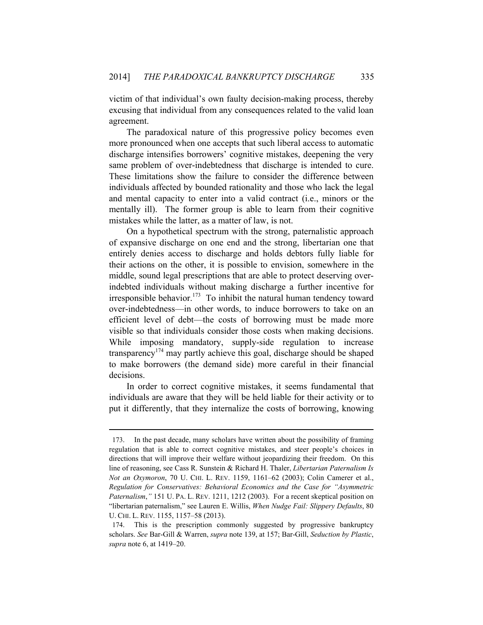victim of that individual's own faulty decision-making process, thereby excusing that individual from any consequences related to the valid loan agreement.

The paradoxical nature of this progressive policy becomes even more pronounced when one accepts that such liberal access to automatic discharge intensifies borrowers' cognitive mistakes, deepening the very same problem of over-indebtedness that discharge is intended to cure. These limitations show the failure to consider the difference between individuals affected by bounded rationality and those who lack the legal and mental capacity to enter into a valid contract (i.e., minors or the mentally ill). The former group is able to learn from their cognitive mistakes while the latter, as a matter of law, is not.

On a hypothetical spectrum with the strong, paternalistic approach of expansive discharge on one end and the strong, libertarian one that entirely denies access to discharge and holds debtors fully liable for their actions on the other, it is possible to envision, somewhere in the middle, sound legal prescriptions that are able to protect deserving overindebted individuals without making discharge a further incentive for irresponsible behavior.<sup>173</sup> To inhibit the natural human tendency toward over-indebtedness—in other words, to induce borrowers to take on an efficient level of debt—the costs of borrowing must be made more visible so that individuals consider those costs when making decisions. While imposing mandatory, supply-side regulation to increase transparency<sup>174</sup> may partly achieve this goal, discharge should be shaped to make borrowers (the demand side) more careful in their financial decisions.

In order to correct cognitive mistakes, it seems fundamental that individuals are aware that they will be held liable for their activity or to put it differently, that they internalize the costs of borrowing, knowing

<sup>173.</sup> In the past decade, many scholars have written about the possibility of framing regulation that is able to correct cognitive mistakes, and steer people's choices in directions that will improve their welfare without jeopardizing their freedom. On this line of reasoning, see Cass R. Sunstein & Richard H. Thaler, *Libertarian Paternalism Is Not an Oxymoron*, 70 U. CHI. L. REV. 1159, 1161–62 (2003); Colin Camerer et al., *Regulation for Conservatives: Behavioral Economics and the Case for "Asymmetric Paternalism*,*"* 151 U. PA. L. REV. 1211, 1212 (2003). For a recent skeptical position on "libertarian paternalism," see Lauren E. Willis, *When Nudge Fail: Slippery Defaults*, 80 U. CHI. L. REV. 1155, 1157–58 (2013).

<sup>174.</sup> This is the prescription commonly suggested by progressive bankruptcy scholars. *See* Bar-Gill & Warren, *supra* note 139, at 157; Bar-Gill, *Seduction by Plastic*, *supra* note 6, at 1419–20.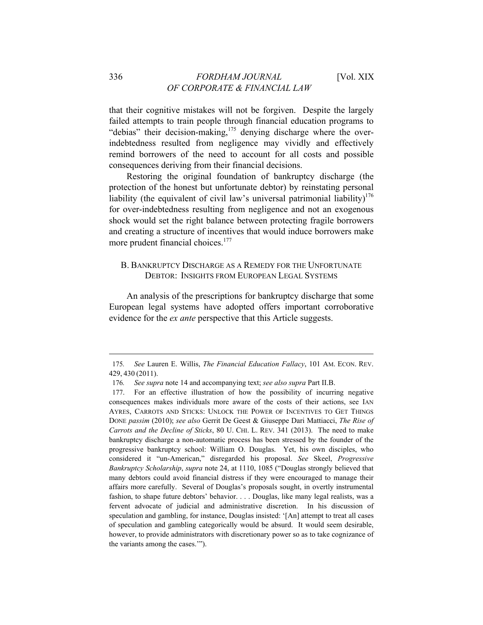that their cognitive mistakes will not be forgiven. Despite the largely failed attempts to train people through financial education programs to "debias" their decision-making,  $175$  denying discharge where the overindebtedness resulted from negligence may vividly and effectively remind borrowers of the need to account for all costs and possible consequences deriving from their financial decisions.

Restoring the original foundation of bankruptcy discharge (the protection of the honest but unfortunate debtor) by reinstating personal liability (the equivalent of civil law's universal patrimonial liability)<sup>176</sup> for over-indebtedness resulting from negligence and not an exogenous shock would set the right balance between protecting fragile borrowers and creating a structure of incentives that would induce borrowers make more prudent financial choices.<sup>177</sup>

## B. BANKRUPTCY DISCHARGE AS A REMEDY FOR THE UNFORTUNATE DEBTOR: INSIGHTS FROM EUROPEAN LEGAL SYSTEMS

An analysis of the prescriptions for bankruptcy discharge that some European legal systems have adopted offers important corroborative evidence for the *ex ante* perspective that this Article suggests.

<sup>&</sup>lt;u> 1989 - Johann Barn, mars ann an t-Amhain ann an t-Amhain an t-Amhain an t-Amhain an t-Amhain an t-Amhain an t-</u> 175*. See* Lauren E. Willis, *The Financial Education Fallacy*, 101 AM. ECON. REV. 429, 430 (2011).

<sup>176</sup>*. See supra* note 14 and accompanying text; *see also supra* Part II.B.

<sup>177.</sup> For an effective illustration of how the possibility of incurring negative consequences makes individuals more aware of the costs of their actions, see IAN AYRES, CARROTS AND STICKS: UNLOCK THE POWER OF INCENTIVES TO GET THINGS DONE *passim* (2010); *see also* Gerrit De Geest & Giuseppe Dari Mattiacci, *The Rise of Carrots and the Decline of Sticks*, 80 U. CHI. L. REV. 341 (2013). The need to make bankruptcy discharge a non-automatic process has been stressed by the founder of the progressive bankruptcy school: William O. Douglas. Yet, his own disciples, who considered it "un-American," disregarded his proposal. *See* Skeel, *Progressive Bankruptcy Scholarship*, *supra* note 24, at 1110, 1085 ("Douglas strongly believed that many debtors could avoid financial distress if they were encouraged to manage their affairs more carefully. Several of Douglas's proposals sought, in overtly instrumental fashion, to shape future debtors' behavior. . . . Douglas, like many legal realists, was a fervent advocate of judicial and administrative discretion. In his discussion of speculation and gambling, for instance, Douglas insisted: '[An] attempt to treat all cases of speculation and gambling categorically would be absurd. It would seem desirable, however, to provide administrators with discretionary power so as to take cognizance of the variants among the cases.'").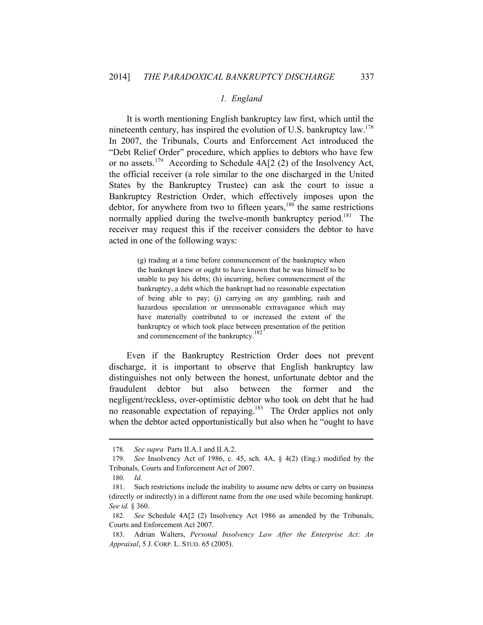#### *1. England*

It is worth mentioning English bankruptcy law first, which until the nineteenth century, has inspired the evolution of U.S. bankruptcy law.<sup>178</sup> In 2007, the Tribunals, Courts and Enforcement Act introduced the "Debt Relief Order" procedure, which applies to debtors who have few or no assets.<sup>179</sup> According to Schedule  $4A[2 (2)$  of the Insolvency Act, the official receiver (a role similar to the one discharged in the United States by the Bankruptcy Trustee) can ask the court to issue a Bankruptcy Restriction Order, which effectively imposes upon the debtor, for anywhere from two to fifteen years, $180$  the same restrictions normally applied during the twelve-month bankruptcy period.<sup>181</sup> The receiver may request this if the receiver considers the debtor to have acted in one of the following ways:

> (g) trading at a time before commencement of the bankruptcy when the bankrupt knew or ought to have known that he was himself to be unable to pay his debts; (h) incurring, before commencement of the bankruptcy, a debt which the bankrupt had no reasonable expectation of being able to pay; (j) carrying on any gambling, rash and hazardous speculation or unreasonable extravagance which may have materially contributed to or increased the extent of the bankruptcy or which took place between presentation of the petition and commencement of the bankruptcy.<sup>182</sup>

Even if the Bankruptcy Restriction Order does not prevent discharge, it is important to observe that English bankruptcy law distinguishes not only between the honest, unfortunate debtor and the fraudulent debtor but also between the former and the negligent/reckless, over-optimistic debtor who took on debt that he had no reasonable expectation of repaying.<sup>183</sup> The Order applies not only when the debtor acted opportunistically but also when he "ought to have

<sup>178</sup>*. See supra* Parts II.A.1 and II.A.2.

<sup>179</sup>*. See* Insolvency Act of 1986, c. 45, sch. 4A, § 4(2) (Eng.) modified by the Tribunals, Courts and Enforcement Act of 2007.

<sup>180</sup>*. Id.*

<sup>181.</sup> Such restrictions include the inability to assume new debts or carry on business (directly or indirectly) in a different name from the one used while becoming bankrupt. *See id.* § 360.

<sup>182</sup>*. See* Schedule 4A[2 (2) Insolvency Act 1986 as amended by the Tribunals, Courts and Enforcement Act 2007.

<sup>183.</sup> Adrian Walters, *Personal Insolvency Law After the Enterprise Act: An Appraisal*, 5 J. CORP. L. STUD. 65 (2005).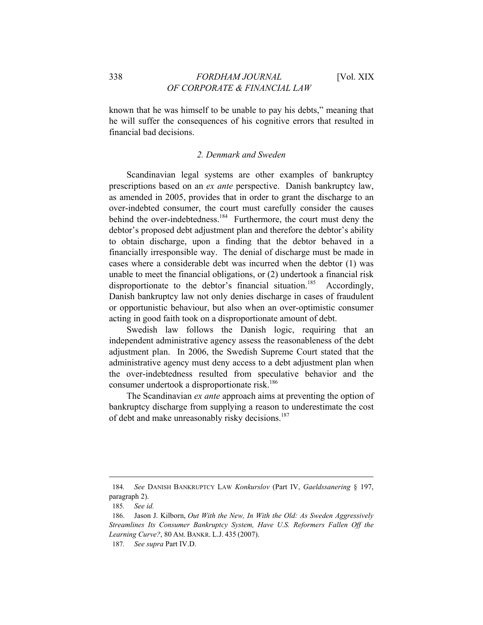known that he was himself to be unable to pay his debts," meaning that he will suffer the consequences of his cognitive errors that resulted in financial bad decisions.

## *2. Denmark and Sweden*

Scandinavian legal systems are other examples of bankruptcy prescriptions based on an *ex ante* perspective. Danish bankruptcy law, as amended in 2005, provides that in order to grant the discharge to an over-indebted consumer, the court must carefully consider the causes behind the over-indebtedness.<sup>184</sup> Furthermore, the court must deny the debtor's proposed debt adjustment plan and therefore the debtor's ability to obtain discharge, upon a finding that the debtor behaved in a financially irresponsible way. The denial of discharge must be made in cases where a considerable debt was incurred when the debtor (1) was unable to meet the financial obligations, or (2) undertook a financial risk disproportionate to the debtor's financial situation.<sup>185</sup> Accordingly, Danish bankruptcy law not only denies discharge in cases of fraudulent or opportunistic behaviour, but also when an over-optimistic consumer acting in good faith took on a disproportionate amount of debt.

Swedish law follows the Danish logic, requiring that an independent administrative agency assess the reasonableness of the debt adjustment plan. In 2006, the Swedish Supreme Court stated that the administrative agency must deny access to a debt adjustment plan when the over-indebtedness resulted from speculative behavior and the consumer undertook a disproportionate risk.<sup>186</sup>

The Scandinavian *ex ante* approach aims at preventing the option of bankruptcy discharge from supplying a reason to underestimate the cost of debt and make unreasonably risky decisions.<sup>187</sup>

<sup>&</sup>lt;u> 1989 - Johann Barn, mars ann an t-Amhain ann an t-Amhain an t-Amhain an t-Amhain an t-Amhain an t-Amhain an t-</u> 184*. See* DANISH BANKRUPTCY LAW *Konkurslov* (Part IV, *Gaeldssanering* § 197, paragraph 2).

<sup>185</sup>*. See id.* 

<sup>186.</sup> Jason J. Kilborn, *Out With the New, In With the Old: As Sweden Aggressively Streamlines Its Consumer Bankruptcy System, Have U.S. Reformers Fallen Off the Learning Curve?*, 80 AM. BANKR. L.J. 435 (2007).

<sup>187</sup>*. See supra* Part IV.D.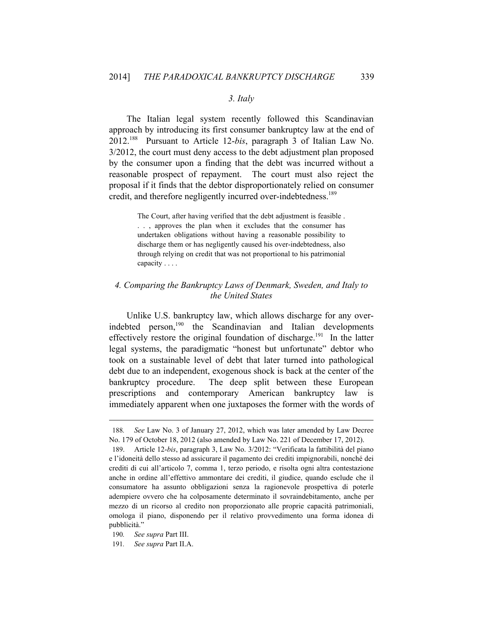## *3. Italy*

The Italian legal system recently followed this Scandinavian approach by introducing its first consumer bankruptcy law at the end of 2012.188 Pursuant to Article 12-*bis*, paragraph 3 of Italian Law No. 3/2012, the court must deny access to the debt adjustment plan proposed by the consumer upon a finding that the debt was incurred without a reasonable prospect of repayment. The court must also reject the proposal if it finds that the debtor disproportionately relied on consumer credit, and therefore negligently incurred over-indebtedness.<sup>189</sup>

> The Court, after having verified that the debt adjustment is feasible . . . , approves the plan when it excludes that the consumer has undertaken obligations without having a reasonable possibility to discharge them or has negligently caused his over-indebtedness, also through relying on credit that was not proportional to his patrimonial capacity . . . .

## *4. Comparing the Bankruptcy Laws of Denmark, Sweden, and Italy to the United States*

Unlike U.S. bankruptcy law, which allows discharge for any overindebted person,<sup>190</sup> the Scandinavian and Italian developments effectively restore the original foundation of discharge.<sup>191</sup> In the latter legal systems, the paradigmatic "honest but unfortunate" debtor who took on a sustainable level of debt that later turned into pathological debt due to an independent, exogenous shock is back at the center of the bankruptcy procedure. The deep split between these European prescriptions and contemporary American bankruptcy law is immediately apparent when one juxtaposes the former with the words of

190*. See supra* Part III.

191*. See supra* Part II.A.

<sup>&</sup>lt;u> 1989 - Johann Barn, mars ann an t-Amhain ann an t-Amhain an t-Amhain an t-Amhain an t-Amhain an t-Amhain an t-</u> 188*. See* Law No. 3 of January 27, 2012, which was later amended by Law Decree No. 179 of October 18, 2012 (also amended by Law No. 221 of December 17, 2012).

<sup>189.</sup> Article 12-*bis*, paragraph 3, Law No. 3/2012: "Verificata la fattibilità del piano e l'idoneità dello stesso ad assicurare il pagamento dei crediti impignorabili, nonché dei crediti di cui all'articolo 7, comma 1, terzo periodo, e risolta ogni altra contestazione anche in ordine all'effettivo ammontare dei crediti, il giudice, quando esclude che il consumatore ha assunto obbligazioni senza la ragionevole prospettiva di poterle adempiere ovvero che ha colposamente determinato il sovraindebitamento, anche per mezzo di un ricorso al credito non proporzionato alle proprie capacità patrimoniali, omologa il piano, disponendo per il relativo provvedimento una forma idonea di pubblicità."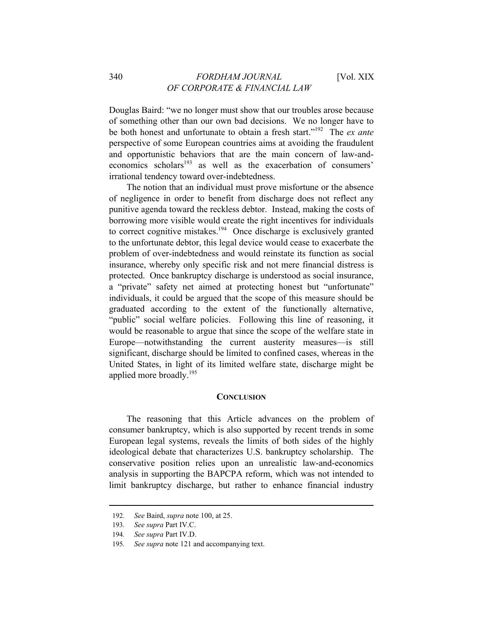Douglas Baird: "we no longer must show that our troubles arose because of something other than our own bad decisions. We no longer have to be both honest and unfortunate to obtain a fresh start."192 The *ex ante*  perspective of some European countries aims at avoiding the fraudulent and opportunistic behaviors that are the main concern of law-andeconomics scholars<sup>193</sup> as well as the exacerbation of consumers' irrational tendency toward over-indebtedness.

The notion that an individual must prove misfortune or the absence of negligence in order to benefit from discharge does not reflect any punitive agenda toward the reckless debtor. Instead, making the costs of borrowing more visible would create the right incentives for individuals to correct cognitive mistakes.<sup>194</sup> Once discharge is exclusively granted to the unfortunate debtor, this legal device would cease to exacerbate the problem of over-indebtedness and would reinstate its function as social insurance, whereby only specific risk and not mere financial distress is protected. Once bankruptcy discharge is understood as social insurance, a "private" safety net aimed at protecting honest but "unfortunate" individuals, it could be argued that the scope of this measure should be graduated according to the extent of the functionally alternative, "public" social welfare policies. Following this line of reasoning, it would be reasonable to argue that since the scope of the welfare state in Europe—notwithstanding the current austerity measures—is still significant, discharge should be limited to confined cases, whereas in the United States, in light of its limited welfare state, discharge might be applied more broadly.195

#### **CONCLUSION**

The reasoning that this Article advances on the problem of consumer bankruptcy, which is also supported by recent trends in some European legal systems, reveals the limits of both sides of the highly ideological debate that characterizes U.S. bankruptcy scholarship. The conservative position relies upon an unrealistic law-and-economics analysis in supporting the BAPCPA reform, which was not intended to limit bankruptcy discharge, but rather to enhance financial industry

<sup>192</sup>*. See* Baird, *supra* note 100, at 25.

<sup>193</sup>*. See supra* Part IV.C.

<sup>194</sup>*. See supra* Part IV.D.

<sup>195</sup>*. See supra* note 121 and accompanying text.